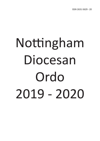# Nottingham Diocesan Ordo 2019 - 2020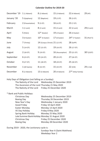#### **Calendar Outline for 2019-20**

| December '19 | $1(1$ Advent)        | 8 (2 Advent)                   | 15 (3 Advent)   | 22 (4 Advent)     | 29 (HF)            |
|--------------|----------------------|--------------------------------|-----------------|-------------------|--------------------|
| January '20  | 5 (Epiphany)         | 12 (Baptism)                   | 19 (2 OT)       | 26 (3 OT)         |                    |
| February     | 2 (Presentation)     | 9 (5 OT)                       | 16 (6 OT)       | 23 (7 OT)         |                    |
| March        | $1(1$ Lent)          | 8 (2 Lent)                     | $15(3$ Lent)    | 22 (4 Lent)       | 29 (5 Lent)        |
| April        | $5$ (Palm)           | $12*$ (Easter)                 | 19 (2 Easter)   | 26 (3 Easter)     |                    |
| May          | 3 (4 Easter)         | $10*$ (5 Easter)               | 17 (6 Easter)   | $24*$ (7 Easter)  | 31 (Pent't)        |
| June         | 7 (Trinity)          | 14 (Corpus Christi) 21 (12 OT) |                 | 28 (SsPP)         |                    |
| July         | 5 (14 OT)            | 12 (15 OT)                     | 19 (16 OT)      | 26 (17 OT)        |                    |
| August       | 2(18 <sub>OT</sub> ) | 9(19 O T)                      | 16 (Assumption) | 23 (21 OT)        | $30*(220T)$        |
| September    | 6 (23 OT)            | 13 (24 OT)                     | 20 (25 OT)      | 27 (26 OT)        |                    |
| October      | 4 (27 OT)            | 11 (28 OT)                     | 18 (29 OT)      | 25 (30 OT)        |                    |
| November     | 1 (All Saints)       | 8 (32 OT)                      | 15 (33 OT)      | 22 (CtK)          | $29(1 \text{ Ad})$ |
| December     | $6(2$ Advent)        | 13 (3 Advent)                  | 20 (4 Advent)   | 27* (Holy Family) |                    |

Holy Days of Obligation (not falling on a Sunday):

The Nativity of the Lord Wednesday 25 December 2019 The Ascension of the Lord Thursday 21 May 2020 The Nativity of the Lord Friday 25 December 2020

\* Bank and Public Holidays:

| Christmas Day                                  | Wednesday 25 December 2019 |
|------------------------------------------------|----------------------------|
| <b>Boxing Day</b>                              | Thursday 26 December 2019  |
| New Year's Day                                 | Wednesday 1 January 2020   |
| Good Friday                                    | Friday 10 April 2020       |
| Easter Monday                                  | Monday 13 April 2020       |
| VE Day Holiday                                 | Friday 8 May 2020          |
| Spring Bank Holiday                            | Monday 25 May 2020         |
| Late Summer Bank Holiday Monday 31 August 2020 |                            |
| Christmas Day                                  | Friday 25 December 2020    |
| <b>Boxing Day</b>                              | Monday 28 December 2020    |

During 2019 - 2020, the Lectionary cycle is:

Sundays Year A (Saint Matthew) Weekdays Year 2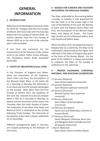#### **GENERAL INFORMATION**

#### **1 - INTRODUCTION**

Welcome to the Nottingham Diocesan Ordo for 2019-20. It begins with the First Sunday of Advent 2019 and ends with the Saturday before the First Sunday of Advent 2020. An outline calendar from the First Sunday of Advent 2020 up to the end of the calendar year is also provided.

If you have any comments for the improvement of the Diocesan Ordo, please write to the Editor, Father Simon Gillespie, The Presbytery, Halam Road, Southwell NG25 0AD.

#### **2 - FEASTS OF OBLIGATION (Canon 1246)**

In the Dioceses of England and Wales, when the solemnities of the Epiphany, Saints Peter and Paul, the Assumption of the Blessed Virgin Mary, or All Saints fall on a Saturday or Monday, the solemnity is to be observed and the precept discharged on the Sunday. With effect from the First Sunday of Advent 2017 the Epiphany of the Lord was restored to 6 January (except when it falls on a Saturday or Monday, as above) and the Ascension of the Lord to the Thursday after the Sixth Sunday of Easter. The Solemnity of the Most Holy Body and Blood of Christ is celebrated on the Sunday following Trinity Sunday. The Solemnity of the Nativity of the Lord is always celebrated on 25 December.

Different arrangements apply in churches and chapels pertaining to the Bishopric of the Forces.

#### **3 - MASSES FOR SUNDAYS AND HOLYDAYS ANTICIPATED THE PREVIOUS EVENING**

The Mass celebrated on the evening before a Sunday or holyday is that appointed for the day itself, or of the proper Vigil in the case of the Nativity of the Lord, the Nativity of Saint John the Baptist, Saints Peter and Paul, the Assumption of the Blessed Virgin Mary, and, above all, Easter. The Easter Vigil should not be celebrated before dusk and should end before dawn.

When the Mass of an anticipated Sunday or holyday falls on a solemnity, the Mass to be celebrated is determined by the higher rank indicated in the table of liturgical days given at the front of *The Roman Missal.* For the good of the faithful it is always permissible to celebrate the Mass of the Sunday in preference to the solemnity.

#### **4 - PROPER CALENDARS: EUROPEAN, NATIONAL, AND DIOCESAN CELEBRATIONS**

- 12 January (National) Saint Aelred (optional memorial) 19 January (National) Saint Wulstan (optional memorial) 20 January (Diocesan) Blessed Cyprian Tansi (optional memorial) 4 February (Diocesan) Saint Gilbert of Sempringham (memorial) 14 February (European) Saints Cyril and Methodius, Patrons of Europe (feast)
- 27 February (Diocesan) Saints Margaret Clitherow, Anne Line, and Margaret Ward *(transferred from 30 August)* (memorial)
- 1 March (National) Saint David, Patron of Wales (feast)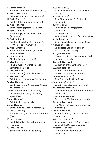17 March (National) Saint Patrick, Patron of Ireland (feast) 20 March (Diocesan) Saint Alcmund (optional memorial) 12 April (Diocesan) Saint Guthlac (optional memorial) 21 April (National) Saint Anselm (optional memorial) 23 April (National) Saint George, Patron of England (solemnity) 24 April (National) Saint Adalbert *(transferred from 23 April)* (optional memorial) 29 April (European) Saint Catherine of Siena, Patron of Europe (feast) 4 May (National) The English Martyrs (feast) 11 May (Diocesan) The Martyrs of Nottinghamshire (optional memorial) 19 May (National) Saint Dunstan (optional memorial) 25 May (National) Saint Bede the Venerable (memorial) 27 May (National) Saint Augustine of Canterbury, Apostle of England (feast) Thursday after Pentecost (National) Our Lord Jesus Christ, Eternal High Priest (feast) 5 June (National) Saint Boniface (memorial) 9 June (National) Saint Columba (optional memorial) 11 June (Diocesan) Saint Barnabas, patron of the Cathedral (feast) 16 June (National) Saint Richard of Chichester (optional memorial) 20 June (National) Saint Alban (optional memorial)

22 June (National) Saints John Fisher and Thomas More (feast) 23 June (National) Saint Etheldreda of Ely (optional memorial) 1 July (National) Saint Oliver Plunket (optional memorial) 11 July (European) Saint Benedict, Patron of Europe (feast) 23 July (European) Saint Bridget, Patron of Europe (feast) 9 August (European) Saint Teresa Benedicta of the Cross, Patron of Europe (feast) 26 August (National) Blessed Dominic of the Mother of God (optional memorial) 30 August (Diocesan) Dedication of the Cathedral (feast) 31 August (National) Saint Aidan and the Saints of Lindisfarne (optional memorial) 3 September (National) Saint Gregory the Great (feast) 4 September (National) Saint Cuthbert (optional memorial) 19 September (National) Saint Theodore of Canterbury (optional memorial) 24 September (National) Our Lady of Walsingham (memorial) 5 October (Diocesan) The Martyrs of Leicestershire (optional memorial) 9 October (National) Saint John Henry Newman (optional memorial) 10 October (Diocesan) Saint Paulinus and the Anglo-Saxon Saints of the Diocese (memorial) 12 October (National) Saint Wilfrid of York (optional

memorial)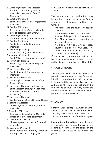- 12 October (National and Diocesan) Saint Hilda of Whitby (optional memorial) (transferred from 17 November)
- 13 October (National) Saint Edward the Confessor (optional memorial)
- 22 October (Diocesan) Dedication of the Church (when the date of dedication is unknown)
- 22 October (National) Saint John Paul II (optional memorial)
- 26 October (National) Saints Chad and Cedd (optional memorial)
- 3 November (National) Saint Winifride (optional memorial)
- 7 November (National) Saint Willibrord (optional memorial)
- 16 November (National) Saint Margaret of Scotland (optional memorial)
- 16 November (National) Saint Edmund of Abingdon (optional memorial)
- 17 November (Diocesan) Saint Hugh of Lincoln, Patron of the Diocese (feast)
- 19 November (National and Diocesan) Saint Elizabeth of Hungary (optional memorial) (transferred from 17 November)
- 30 November (National) Saint Andrew, Patron of Scotland (feast)
- 1 December (Diocesan) The Martyrs of Derbyshire (optional memorial)
- 8 December (Diocesan) Immaculate Conception of Our Lady, Patron of the Diocese (solemnity)
- 10 December (Diocesan) The Martyrs of Lincolnshire (optional memorial)
- 29 December (National) Saint Thomas of Canterbury, Patron of the English Pastoral Clergy (feast)

#### **5 - CELEBRATING THE CHURCH TITULAR ON SUNDAY**

The celebration of the church's titular may be transferred from a weekday to a Sunday provided the following conditions are fulfilled:

The titular has the favour of popular devotion.

The Sunday to which it is transferred is a Sunday 'of the year' (in ordinary time).

The Church has been dedicated or solemnly blessed.

It is a primary titular, or, if a secondary titular, it is a Feast of Our Lord. (All titulars are primary unless specifically stated to be secondary.)

If the above conditions are fulfilled, all Masses at which a congregation is present on that Sunday may be Masses of the titular.

#### **6 - CYCLE OF PRAYER**

The liturgical year has been divided into six periods. We are asked to pray for certain intentions throughout the period, as shown in the notes at the beginning of each period. At Mass on the days of special prayer it is sufficient to announce the day during the opening remarks and to include a suitable petition in the intercessions.

#### **7 - AT MASS**

**Sundays:** Gloria (except in Advent or Lent); Readings of the Sunday; Creed; Preface of Sundays; vestments of the colour of the Sunday; one Mass to be offered *pro populo.*

**Solemnities of Obligation:** Gloria; Readings of the solemnity; Creed; Preface of the solemnity; vestments of the colour of the solemnity; one Mass to be offered *pro populo.*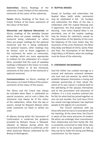**Solemnities:** Gloria; Readings of the solemnity; Creed; Preface of the solemnity; vestments of the colour of the solemnity.

**Feasts:** Gloria; Readings of the feast; no Creed; Preface of the feast; vestments of the colour of the feast.

**Memorials and Optional Memorials:** no Gloria; readings of the weekday (except where there are proper readings for the memorial being celebrated; or where there are proper readings for the optional memorial and this is being celebrated. For pastoral reasons, other readings may be chosen, such as those suggested in the Lectionary for saints on memorials, or readings which are more appropriate to children for the celebration of a school Mass, provided that the cycle of weekday readings is followed in the main); no Creed; Common Preface or of the memorial; vestments of the colour of the memorial or optional memorial.

**Commemorations:** no Gloria; readings of the season; no Creed; Preface of the season; vestments of the colour of the season.

The Gloria and the Creed may always be included when Mass is celebrated on special occasions, and at such a Mass the vestments may always be of the colour of the celebration, rather than the day or season, except for Requiem Masses when violet vestments (or black or white) are used.

At Masses during which the Sacrament of Confirmation is conferred the guidance provided by Bishop's House is followed. Likewise at Masses during which the Sacrament of Ordination is conferred, or for other particular Masses celebrated by the Bishop of Nottingham.

#### **8 - NUPTIAL MASSES**

Except on Sundays and solemnities the Nuptial Mass (with white vestments) may be celebrated in full. On Sundays and solemnities the Mass of the day is celebrated, with the nuptial blessing and, if opportune, the final proper formula of blessing. Even when Nuptial Mass is not permitted, one of the nuptial readings may be chosen for catechesis, except on the solemnities of the Nativity of the Lord, the Epiphany of the Lord, Easter Day, the Ascension of the Lord, Pentecost, the Most Holy Body and Blood of Christ, Saints Peter and Paul, the Assumption of the Blessed Virgin Mary, or All Saints, when the readings must be those of the solemnity.

#### **9 - STATEMENT ON MARRIAGE**

God the Father has created marriage as a mutual and exclusive covenant between one man and one woman, by which they establish between themselves a loving and intimate partnership of their whole life, which of its own nature is ordered both to the well-being of the spouses themselves and to the procreation and education of children. It is a true vocation entered into for life, for what God has joined together no one can put asunder. Our Lord Jesus Christ has raised marriage between two baptised people to the dignity of a sacrament.

The Church welcomes with joy those who wish to marry in accordance with her teaching. At the same time, the Church is aware of the many pressures of modern life which can endanger their commitment, their relationship and their family life. She is constantly concerned to help those who wish to marry to be prepared as fully as they can be to make this loving and lifelong commitment. For this reason: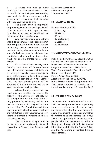1. A couple who wish to marry should speak to their parish priest at least six months before their proposed wedding date, and should not make any other arrangements concerning their wedding until they have spoken to him.

2. The parish priest is responsible for preparing couples for marriage. He will often be assisted in this important work by a deacon, a group of parishioners or members of other organisations.

3. Any marriage involving a Catholic should be celebrated in their parish church. With the permission of their parish priest, the marriage may be celebrated in another parish. A marriage between a Catholic and a non-Catholic may only be celebrated in a non-Catholic church with a dispensation, which will only be granted for a serious reason.

4. If a Catholic wishes to marry a non-Catholic, the Catholic will be reminded of their obligation to preserve their faith, and will be invited to make a sincere promise to do all in their power to have their children baptised and brought up in the Catholic faith. The non-Catholic partner will be informed of this promise, but will not be asked to make any such promise.

All couples preparing for marriage need and are entitled to receive the support of the Church, so that they will be strengthened by the Holy Spirit as they prepare for, celebrate, and live out the commitment which they will make at their wedding. The Church thanks all those married people who show great constancy and faithfulness in their vocation, and prays that their example may inspire all who are preparing to marry.

This statement is appointed to be read at Mass or published in the parish newsletter in February and October each year.

Rt Rev Patrick McKinney Bishop of Nottingham 1 September 2018

#### **10 - MEETINGS IN 2020**

Deanery Meetings 2020: 6 February; 12 March; 18 June; 17 September; 8 October; 12 November.

#### **11 - MANDATORY COLLECTIONS IN 2020**

Poor & Needy Parishes: 15 December 2019 Sick and Retired Priests: 19 January 2020 Holy Places of Palestine: 10 April 2020 Clergy Formation Fund: 3 May 2020 World Communication Day: 24 May 2020 Day for Life: 14 June 2020 Peter's Pence: 28 June 2020 Apostleship of the Sea: 12 July 2020 Home Mission Sunday: 20 September 2020 World Mission Sunday: 18 October 2020 Poor & Needy Parishes: 20 December 2020

#### **12 - PARISH FINANCIAL REVIEW**

The weekend of 29 February and 1 March 2020 has been proposed as an opportunity for every parish in the diocese to thank parishioners for what they give financially, and to encourage them to consider whether they might be able to increase their giving. This is an opportunity to encourage more people who are tax-payers to enhance their giving through Gift Aid. For further infomation published by the Finance Office, see the Ad Clerum or contact Bishop's House directly.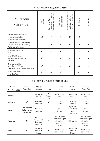#### **13 - VOTIVE AND REQUIEM MASSES**

| $\checkmark$ = Permitted<br>$x = Not Permitted$                                                            | Masses<br>Funeral | grave emergency or pastoral<br>opportunity also Ritual Mass<br>Permitted by Ordinary for | or first anniversary<br>News of death | Grave emergency or pastoral<br>opportunity in judgement of<br>church rector or celebrant | For Devotion              | Daily Requiem             |
|------------------------------------------------------------------------------------------------------------|-------------------|------------------------------------------------------------------------------------------|---------------------------------------|------------------------------------------------------------------------------------------|---------------------------|---------------------------|
| Maundy Thursday to Easter Day;<br>Solemnities of obligation;<br>Sundays of Advent, Lent, Easter.           | $\mathbf x$       | $\mathbf x$                                                                              | $\mathbf x$                           | $\overline{\mathbf{x}}$                                                                  | $\mathbf x$               | $\mathbf x$               |
| Solemnities; All Souls; Ash Wednesday;<br>Monday to Wednesday of Holy Week;<br>Weekdays of Easter Octave.  |                   | $\mathbf x$                                                                              | $\mathbf x$                           | $\mathbf x$                                                                              | $\mathbf x$               | $\mathbf x$               |
| Sundays of Christmas Time;<br>Feasts.                                                                      |                   |                                                                                          | $\mathbf x$                           | $\boldsymbol{\mathsf{x}}$                                                                | $\boldsymbol{\mathsf{x}}$ | $\mathbf x$               |
| Advent 17-24 December;<br>Days within the Christmas Octave;<br>Lent ferias.                                |                   |                                                                                          |                                       | $\mathbf x$                                                                              | $\boldsymbol{\mathsf{x}}$ | ×                         |
| Obligatory memorials;<br>Advent ferias to 17 December;<br>Christmas ferias after 2 January; Easter ferias. |                   |                                                                                          |                                       |                                                                                          | $\boldsymbol{\mathsf{x}}$ | $\boldsymbol{\mathsf{x}}$ |
| Optional memorials;<br>Ferias of the Year.                                                                 |                   |                                                                                          |                                       |                                                                                          |                           |                           |

#### **14 - AT THE LITURGY OF THE HOURS**

| $\checkmark$ = Said<br>$x = Not Said$ | Evening<br>Prayer One                            | Office of<br>Readings                              | Te<br>Deum       | Morning<br>Prayer                                                                    | Midday<br>Prayer                                    | Evening<br>Prayer Two                                                                |
|---------------------------------------|--------------------------------------------------|----------------------------------------------------|------------------|--------------------------------------------------------------------------------------|-----------------------------------------------------|--------------------------------------------------------------------------------------|
| Sundays                               |                                                  | Ordinary and<br>Proper                             | (except<br>Lent) | Ordinary and<br>Proper                                                               | Ordinary and<br>Proper                              | Ordinary and<br>Proper                                                               |
| Solemnities                           |                                                  | Proper or<br>Common                                |                  | Proper or<br>Common                                                                  | Proper or<br>Common                                 | Proper or<br>Common                                                                  |
| Feasts                                | Only Feasts of<br>the Lord falling<br>on Sundays | Proper or<br>Common                                |                  | Proper or<br>Common                                                                  | Hymn, ant<br>and psalms of<br>day;<br>prayer Proper | Proper or<br>Common                                                                  |
| <b>Memorials</b>                      | $\mathbf x$                                      | First from<br>feria, Second<br>Proper or<br>Common | ×                | Ant, psalms of<br>feria; rest Proper<br>or from feria or<br>Common; prayer<br>Proper | All from feria                                      | Ant, psalms of<br>feria; rest Proper<br>or from feria or<br>Common; prayer<br>Proper |
| Ferias                                | ×                                                | Ordinary and<br>Proper of<br>Seasons               | ×                | Ordinary and<br>Proper of Seasons                                                    | Ordinary and<br>Proper of<br>Seasons                | Ordinary and<br>Proper of Seasons                                                    |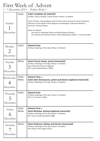# First Week of Advent

1 - 7 December 2019 - Psalter Week 1

| Sunday<br>December                          | Violet          | <b>FIRST SUNDAY OF ADVENT</b><br>At Mass: Gloria omitted, Creed recited, Preface I of Advent<br>Cycle of Prayer: during Advent and Christmas Time we pray for these intentions:<br>Openness to the Word of God; Migrants and Refugees; Expectant Mothers:<br>Survivors of Sexual Abuse<br>Notes for Advent:<br>See note six regarding Votive and Daily Requiem Masses<br>At Compline the Marian Anthem 'Alma Redemptoris Mater' is recommended |
|---------------------------------------------|-----------------|------------------------------------------------------------------------------------------------------------------------------------------------------------------------------------------------------------------------------------------------------------------------------------------------------------------------------------------------------------------------------------------------------------------------------------------------|
| Monday<br>$\mathcal{D}_{\cdot}$<br>December | Violet          | <b>Advent Feria</b><br>At Mass: Readings of the day, Preface I of Advent                                                                                                                                                                                                                                                                                                                                                                       |
| Tuesday<br>December                         | White           | Saint Francis Xavier, priest (memorial)<br>At Mass: Readings of the day, Preface I of Advent<br>Day of Special Prayer for Migrants<br>RIP: Canon Edward Neary (1985)                                                                                                                                                                                                                                                                           |
| Wednesday<br>December                       | Violet<br>White | <b>Advent Feria</b> or<br>Saint John Damascene, priest and doctor (optional memorial)<br>At Mass: Readings of the day, Preface I of Advent                                                                                                                                                                                                                                                                                                     |
| Thursday<br>December                        | Violet          | <b>Advent Feria</b><br>At Mass: Readings of the day, Preface I of Advent<br>RIP: Fr Con Dolan (1981)                                                                                                                                                                                                                                                                                                                                           |
| Friday<br>December                          | Violet<br>White | <b>Advent Feria or</b><br>Saint Nicholas, bishop (optional memorial)<br>At Mass: Readings of the day, Preface I of Advent<br>RIP: Canon Joseph Murdock (1988)                                                                                                                                                                                                                                                                                  |
| Saturday<br>December                        | White           | Saint Ambrose, bishop and doctor (memorial)<br>At Mass: Readings of the day, Preface I of Advent<br>RIP: Deacon John Hague (2011)                                                                                                                                                                                                                                                                                                              |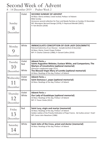#### Second Week of Advent

8 - 14 December 2019 - Psalter Week 2

| Sunday<br>December         | Violet                 | <b>SECOND SUNDAY OF ADVENT</b><br>At Mass: Gloria omitted, Creed recited, Preface I of Advent<br><b>Bible Sunday</b><br>Announce second collection for Poor and Needy Parishes on Sunday 15 December<br>RIP: Monsignor Bernard George (1978); Fr Raymund Mendel (2007);<br>Fr Tom Breslin (2018) |
|----------------------------|------------------------|--------------------------------------------------------------------------------------------------------------------------------------------------------------------------------------------------------------------------------------------------------------------------------------------------|
| Monday<br>December         | White                  | <b>IMMACULATE CONCEPTION OF OUR LADY (SOLEMNITY)</b><br>Patronal Solemnity of our Diocese transferred from 8 December<br>At Mass: Gloria, Creed, Proper Preface<br>RIP: Fr Charles Coleman (1980); Fr Gerard Collins (2010)                                                                      |
| Tuesday<br>10<br>December  | Violet<br>Red<br>White | <b>Advent Feria</b> or<br>Saints Augustine Webster, Eustace White, and Companions; The<br>Martyrs of Lincolnshire (optional memorial)<br>(Diocesan supplement page 13) or<br>The Blessed Virgin Mary of Loretto (optional memorial)<br>At Mass: Readings of the day, Preface I of Advent         |
| Wednesday                  | Violet<br>White        | <b>Advent Feria</b> or<br>Saint Damasus I, pope (optional memorial)<br>At Mass: Readings of the day, Preface I of Advent                                                                                                                                                                         |
| December                   |                        |                                                                                                                                                                                                                                                                                                  |
| Thursday<br>12<br>December | Violet<br>White        | <b>Advent Feria or</b><br>Our Lady of Guadalupe (optional memorial)<br>At Mass: Readings of the day, Preface I of Advent<br>RIP: Fr Trevor Clarke (2012)                                                                                                                                         |
| Friday<br>13<br>December   | Red                    | Saint Lucy, virgin and martyr (memorial)<br>At Mass: Readings of the day, Preface I of Advent<br>Golden Jubilee of the Priestly Ordination of Pope Francis. Ad multos annos! Vivat!<br>RIP: Canon John Newsham (1986)                                                                            |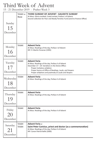# Third Week of Advent

15 - 21 December 2019 - Psalter Week 3

| Sunday<br>15<br>December    | Violet or<br>Rose | THIRD SUNDAY OF ADVENT - GAUDETE SUNDAY<br>At Mass: Gloria omitted, Creed recited, Preface I of Advent<br>Second collection for Poor and Needy Parishes Fund (send to Finance Office)                                                                                         |
|-----------------------------|-------------------|-------------------------------------------------------------------------------------------------------------------------------------------------------------------------------------------------------------------------------------------------------------------------------|
| Monday<br>16<br>December    | Violet            | <b>Advent Feria</b><br>At Mass: Readings of the day, Preface I of Advent<br>RIP: Fr Martin Finneran (1995)                                                                                                                                                                    |
| Tuesday<br>17<br>December   | Violet            | <b>Advent Feria</b><br>At Mass: Readings of the day, Preface II of Advent<br>December 17 - 24: Variations in the Divine Office:<br>Proper invitatory antiphon<br>Proper hymns at Office of Readings, Lauds, and Vespers<br>Proper antiphons and psalmody at Lauds and Vespers |
| Wednesday<br>18<br>December | Violet            | <b>Advent Feria</b><br>At Mass: Readings of the day, Preface II of Advent                                                                                                                                                                                                     |
| Thursday<br>19<br>December  | Violet            | <b>Advent Feria</b><br>At Mass: Readings of the day, Preface II of Advent                                                                                                                                                                                                     |
| Friday<br>December          | Violet            | <b>Advent Feria</b><br>At Mass: Readings of the day, Preface II of Advent                                                                                                                                                                                                     |
| Saturday<br>21<br>December  | Violet<br>Violet  | <b>Advent Feria</b> or<br>Saint Peter Canisius, priest and doctor (as a commemoration)<br>At Mass: Readings of the day, Preface II of Advent<br>RIP: Canon Patrick Balfe (2000)                                                                                               |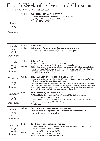### Fourth Week of Advent and Christmas

22 - 28 December 2019 - Psalter Week 4

| Sunday<br>22<br>December   | Violet           | <b>FOURTH SUNDAY OF ADVENT</b><br>At Mass: Gloria omitted, Creed recited, Preface II of Advent<br>Day of Special Prayer for Expectant Mothers<br>Canon David Ryan (2002)                                                                                                                                                                                                                                                            |
|----------------------------|------------------|-------------------------------------------------------------------------------------------------------------------------------------------------------------------------------------------------------------------------------------------------------------------------------------------------------------------------------------------------------------------------------------------------------------------------------------|
| Monday<br>23<br>December   | Violet<br>Violet | <b>Advent Feria or</b><br>Saint John of Kanty, priest (as a commemoration)<br>RIP: Fr Cornelius Moynihan (2009); Deacon Les Lemon (2014)                                                                                                                                                                                                                                                                                            |
| Tuesday<br>24<br>December  | Violet<br>White  | <b>Advent Feria</b><br>At Mass: Readings of the day, Preface II of Advent<br>In the evening: At Mass: Vigil Mass of the Nativity of Our Lord<br>Office: First Vespers of tomorrow's Solemnity; Before the Midnight Mass of Christ-<br>mas it is appropriate that a solemn vigil shoudl be celebrated with the Office of<br>Readings; Compline is not said by those who are present at this vigil.<br>RIP: Fr Douglas Walford (1979) |
| Wednesday                  | White            | THE NATIVITY OF THE LORD (SOLEMNITY)<br>Holyday of Obligation. At Mass: Gloria, Creed (all kneel briefly at "et incarnatus est"), Proper                                                                                                                                                                                                                                                                                            |
| 25<br>December             |                  | Preface (and insert of Christmas if Eucharistic Prayer I)<br>All priests may celebrate or concelebrate three Masses at their appropriate points of the day.<br>If only one Mass is celebrated the one appropriate to that part of the day is used. A priest who<br>celebrates Mass three times may accept three Mass offerings. Parish Priests must say Mass<br>pro populo, for which no offering may be accepted. Public Holiday   |
| Thursday<br>26<br>December | Red              | <b>SAINT STEPHEN, PROTO-MARTYR (FEAST)</b><br>At Mass: Gloria; Readings of the Feast, Preface of The Nativity of the Lord (and<br>insert of Christmas if Eucharistic Prayer I)<br>A renewal of commitment by altar servers is desirable either today or on some<br>suitable alternative day (eg Christ the King)<br><b>Bank Holiday</b>                                                                                             |
| Friday<br>December         | White            | SAINT JOHN, APOSTLE AND EVANGELIST (FEAST)<br>At Mass: Gloria; Readings of the Feast, Preface of The Nativity of the Lord (and<br>insert of Christmas if Eucharistic Prayer I)                                                                                                                                                                                                                                                      |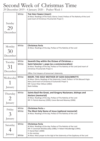### Second Week of Christmas Time

29 December 2019 - 4 January 2020 - Psalter Week 1

|                      | White          | THE HOLY FAMILY (FEAST)<br>At Mass: Readings of the Feast; Gloria; Creed; Preface of The Nativity of the Lord<br>(and insert of Christmas if Eucharistic Prayer I)                                                                         |
|----------------------|----------------|--------------------------------------------------------------------------------------------------------------------------------------------------------------------------------------------------------------------------------------------|
| Sunday               |                |                                                                                                                                                                                                                                            |
| 29                   |                |                                                                                                                                                                                                                                            |
| December             |                |                                                                                                                                                                                                                                            |
|                      |                |                                                                                                                                                                                                                                            |
| Monday               | White          | Christmas Feria                                                                                                                                                                                                                            |
|                      |                | At Mass: Readings of the day, Preface of The Nativity of the Lord                                                                                                                                                                          |
| 30                   |                |                                                                                                                                                                                                                                            |
| December             |                |                                                                                                                                                                                                                                            |
| Tuesday              | White          | Seventh Day within the Octave of Christmas or                                                                                                                                                                                              |
|                      | White          | Saint Sylvester I, pope (as a commemoration)<br>At Mass: Readings of the day, Preface of The Nativity of the Lord (and insert of                                                                                                           |
| 31                   |                | Christmas if Eucharistic Prayer I)                                                                                                                                                                                                         |
| December             |                | Office: First Vespers of tomorrow's Solemnity                                                                                                                                                                                              |
| Wednesday<br>January | White          | MARY, THE HOLY MOTHER OF GOD (SOLEMNITY)<br>At Mass: Gloria, Readings of the Solemnity, Creed, Preface I of the Blessed Virgin<br>Mary (and insert of Christmas if Eucharistic Prayer I)<br>RIP: Canon Peter Wilson (2002)<br>Bank Holiday |
|                      | White          | Saints Basil the Great, and Gregory Nazianzen, bishops and                                                                                                                                                                                 |
| Thursday             |                | doctors (memorial)                                                                                                                                                                                                                         |
|                      |                | At Mass: Readings of the day, Preface of The Nativity of the Lord<br>RIP: Fr Patrick Kearney (1999); Canon Bernard Mooney (2006)                                                                                                           |
| January              |                |                                                                                                                                                                                                                                            |
|                      |                |                                                                                                                                                                                                                                            |
| Friday               | White<br>White | <b>Christmas Feria</b> or<br>The Most Holy Name of Jesus (optional memorial)                                                                                                                                                               |
|                      |                | At Mass: Readings of the day, Preface of The Nativity of the Lord                                                                                                                                                                          |
| January              |                |                                                                                                                                                                                                                                            |
|                      | White          | <b>Christmas Feria</b>                                                                                                                                                                                                                     |
| Saturday             |                | At Mass: Readings of the day, Preface of The Nativity of the Lord<br>RIP: Fr Jeremiah McGillycuddy (1986); Fr Robert Woodbridge (1994);                                                                                                    |
| January              |                | Fr Daniel Reid (2000)<br>In the evening:                                                                                                                                                                                                   |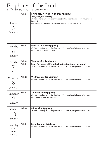# Epiphany of the Lord

5 - 11 January 2020 - Psalter Week 2

| Sunday<br>January      | White          | <b>EPIPHANY OF THE LORD (SOLEMNITY)</b><br>Transferred from 6 Jaunary<br>At Mass: Gloria, Creed, Proper Preface (and insert of the Epiphany if Eucharistic<br>Prayer I)<br>RIP: Monsignor Hugh Atkinson (1993); Canon Patrick Snee (2009) |
|------------------------|----------------|-------------------------------------------------------------------------------------------------------------------------------------------------------------------------------------------------------------------------------------------|
| Monday<br>6<br>January | White          | <b>Monday after the Epiphany</b><br>At Mass: Readings of the day, Preface of The Nativity or Epiphany of the Lord<br>RIP: Fr Michael Stewart (1982)                                                                                       |
| Tuesday<br>January     | White<br>White | Tuesday after Epiphany or<br>Saint Raymond of Penyafort, priest (optional memorial)<br>At Mass: Readings of the day, Preface of The Nativity or Epiphany of the Lord                                                                      |
| Wednesday<br>January   | White          | <b>Wednesday after Epiphany</b><br>At Mass: Readings of the day, Preface of The Nativity or Epiphany of the Lord                                                                                                                          |
| Thursday<br>January    | White          | <b>Thursday after Epiphany</b><br>At Mass: Readings of the day, Preface of The Nativity or Epiphany of the Lord<br>RIP: Canon Bernard Shaw (2001)                                                                                         |
| Friday<br>January      | White          | <b>Friday after Epiphany</b><br>At Mass: Readings of the day, Preface of The Nativity or Epiphany of the Lord                                                                                                                             |
| Saturday<br>January    | White          | <b>Saturday after Epiphany</b><br>At Mass: Readings of the day, Preface of The Nativity or Epiphany of the Lord                                                                                                                           |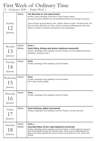# First Week of Ordinary Time

12 - 18 January 2020 - Psalter Week 1

| Sunday<br>12<br>January    | White          | THE BAPTISM OF THE LORD (FEAST)<br>At Mass: Gloria, Readings of the Feast, Creed, Proper Preface<br>Announce second collection for Sick and Retired Priests Fund Sunday 19 January<br>Cycle of Prayer during Ordinary Time - Winter: Peace on Earth; Christian Unity; The<br>Sick and Those Who Care for Them; Victims of Human Trafficking and Those who<br>Work to Combat it; Students and Teachers; The Unemployed |
|----------------------------|----------------|-----------------------------------------------------------------------------------------------------------------------------------------------------------------------------------------------------------------------------------------------------------------------------------------------------------------------------------------------------------------------------------------------------------------------|
| Monday<br>13<br>January    | Green<br>White | Feria or<br>Saint Hilary, bishop and doctor (optional memorial)<br>At Mass: Readings of the weekday; Common Preface or of the optional memorial<br>Weekdays: Lectionary Year 2                                                                                                                                                                                                                                        |
| Tuesday<br>14<br>January   | Green          | Feria<br>At Mass: Readings of the weekday; Common Preface                                                                                                                                                                                                                                                                                                                                                             |
| Wednesday<br>15<br>January | Green          | Feria<br>At Mass: Readings of the weekday; Common Preface<br>RIP Fr Peter Tierney (2006)                                                                                                                                                                                                                                                                                                                              |
| Thursday<br>16<br>January  | Green          | Feria<br>At Mass: Readings of the weekday; Common Preface                                                                                                                                                                                                                                                                                                                                                             |
| Friday<br>January          | White          | Saint Anthony, abbot (memorial)<br>At Mass: Readings of the weekday, Common Preface or of the memorial                                                                                                                                                                                                                                                                                                                |
| Saturday<br>18<br>January  | Green<br>White | Feria or<br><b>Saturday Mass of Our Lady (optional memorial)</b><br>At Mass: Readings of the weekday; Common Preface or of the optional memorial<br>Start of the Week of Prayer for Christian Unity. Mass may be celebrated for the<br>Unity of Christians (Masses for various needs and occasions no.17 p. 1336 in the<br>Missal)                                                                                    |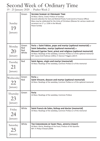### Second Week of Ordinary Time

19 - 25 January 2020 - Psalter Week 2

| Sunday<br>19<br>January        | Green                        | <b>SECOND SUNDAY OF ORDINARY TIME</b><br>At Mass: Gloria, Creed, Preface of Sundays<br>Second collection for Sick and Retired Priests Fund (send to Finance Office)<br>Mass may be celebrated for the Unity of Christians (Masses for various needs and<br>occasions no.17 p. 1336 in the Missal)<br>Peace Sunday                       |
|--------------------------------|------------------------------|-----------------------------------------------------------------------------------------------------------------------------------------------------------------------------------------------------------------------------------------------------------------------------------------------------------------------------------------|
| Monday<br><b>20</b><br>January | Green<br>Red<br>Red<br>White | Feria or Saint Fabian, pope and martyr (optional memorial) or<br>Saint Sebastian, martyr (optional memorial) or<br><b>Blessed Cyprian Tansi, priest and religious (optional memorial)</b><br>At Mass: Readings of the weekday, Common Preface or of the optional memorial<br>RIP: Canon Emil Puttman (1991); Fr Dennis P Higgins (2017) |
| Tuesday<br>21<br>January       | Red                          | Saint Agnes, virgin and martyr (memorial)<br>At Mass: Readings of the weekday, Common Preface or of the memorial                                                                                                                                                                                                                        |
| Wednesday<br>22<br>January     | Green<br>Red                 | Feria or<br>Saint Vincent, deacon and martyr (optional memorial)<br>At Mass: Readings of the weekday, Common Preface or of the optional memorial                                                                                                                                                                                        |
| Thursday<br>23<br>January      | Green                        | Feria<br>At Mass: Readings of the weekday; Common Preface                                                                                                                                                                                                                                                                               |
| Friday<br>January              | White                        | Saint Francis de Sales, bishop and doctor (memorial)<br>At Mass: Readings of the weekday, Common Preface or of the memorial                                                                                                                                                                                                             |
| Saturday<br>25<br>January      | White                        | THE CONVERSION OF SAINT PAUL, APOSTLE (FEAST)<br>At Mass: Gloria, Readings of the Feast, Preface of the Apostles<br>RIP: Fr Philip O'Dowd (2009)                                                                                                                                                                                        |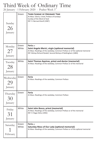#### Third Week of Ordinary Time

26 January - 1 February 2020 - Psalter Week 3

| Sunday<br>26<br>January    | Green          | <b>THIRD SUNDAY OF ORDINARY TIME</b><br>At Mass: Gloria, Creed, Preface of Sundays<br>Sunday of the Word of God<br>RIP: Fr Bernard Kevill (1987)                                                               |
|----------------------------|----------------|----------------------------------------------------------------------------------------------------------------------------------------------------------------------------------------------------------------|
| Monday<br>27<br>January    | Green<br>White | Feria or<br>Saint Angela Merici, virgin (optional memorial)<br>At Mass: Readings of the weekday, Common Preface or of the optional memorial<br>RIP: Bishop Richard Roskell, Second Bishop of Nottingham (1883) |
| Tuesday<br>28<br>January   | White          | Saint Thomas Aquinas, priest and doctor (memorial)<br>At Mass: Readings of the weekday, Common Preface or of the memorial                                                                                      |
| Wednesday<br>29<br>January | Green          | Feria<br>At Mass: Readings of the weekday; Common Preface                                                                                                                                                      |
| Thursday                   | Green          | Feria                                                                                                                                                                                                          |
| 30<br>January              |                | At Mass: Readings of the weekday; Common Preface                                                                                                                                                               |
| Friday<br>31<br>January    | White          | Saint John Bosco, priest (memorial)<br>At Mass: Readings of the weekday, Common Preface or of the memorial<br>RIP: Fr Roger Birks (1992)                                                                       |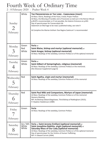### Fourth Week of Ordinary Time

2 - 8 February 2020 - Psalter Week 4

| Sunday<br>February    | White                 | THE PRESENTATION OF THE LORD - CANDLEMAS (FEAST)<br>At Mass: Gloria, Readings of the Feast, Creed; Proper Preface<br>At Mass, the Blessing of Candles and a Procession as laid out in the Roman Missal<br>p.852ff is recommended, or if not possible, the Solemn Entrance on p.855<br>Day of special prayer for Consecrated Life<br>Statement on Marriage to be read / published today, see note 9<br>At Compline the Marian Anthem 'Ave Regina Caelorum' is recommended |
|-----------------------|-----------------------|--------------------------------------------------------------------------------------------------------------------------------------------------------------------------------------------------------------------------------------------------------------------------------------------------------------------------------------------------------------------------------------------------------------------------------------------------------------------------|
| Monday<br>February    | Green<br>Red<br>White | Feria or<br>Saint Blaise, bishop and martyr (optional memorial) or<br>Saint Ansgar, bishop (optional memorial)<br>At Mass: Readings of the weekday, Common Preface or of the optional memorial                                                                                                                                                                                                                                                                           |
| Tuesday<br>February   | Green<br>White        | Feria or<br>Saint Gilbert of Sempringham, religious (memorial)<br>At Mass: Readings of the weekday; Common Preface or the memorial;<br>(the Diocesan Supplement page 6)                                                                                                                                                                                                                                                                                                  |
| Wednesday<br>February | Red                   | Saint Agatha, virgin and martyr (memorial)<br>At Mass: Readings of the weekday, Common Preface or of the memorial                                                                                                                                                                                                                                                                                                                                                        |
| Thursday<br>6         | Red                   | Saint Paul Miki and Companions, Martyrs of Japan (memorial)<br>At Mass: Readings of the weekday, Common Preface or of the memorial                                                                                                                                                                                                                                                                                                                                       |
| February              |                       | <b>Deanery Meeting</b><br>RIP: Archbishop Edward Bagshawe, Third Bishop of Nottingham (1915);<br>Fr Stephen Hodskinson (1989)                                                                                                                                                                                                                                                                                                                                            |
| Friday<br>February    | Green                 | Feria<br>At Mass: Readings of the weekday, Common Preface                                                                                                                                                                                                                                                                                                                                                                                                                |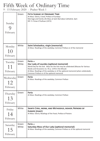# Fifth Week of Ordinary Time

9 - 15 February 2020 - Psalter Week 1

| Sunday<br>February                     | Green          | <b>FIFTH SUNDAY OF ORDINARY TIME</b><br>At Mass: Gloria, Creed, Preface of Sundays<br>Marriage and Family Life Mass at Saint Barnabas Cathedral, 3pm<br>RIP: Fr Finian O'Sullivan (1972)                                                                                                                                     |
|----------------------------------------|----------------|------------------------------------------------------------------------------------------------------------------------------------------------------------------------------------------------------------------------------------------------------------------------------------------------------------------------------|
| Monday<br>10<br>February               | White          | Saint Scholastica, virgin (memorial)<br>At Mass: Readings of the weekday, Common Preface or of the memorial                                                                                                                                                                                                                  |
| Tuesday<br>11<br>February              | Green<br>White | Feria or<br>Our Lady of Lourdes (optional memorial)<br>World Day for the Sick. Mass for the Sick may be celebrated (Masses for Various<br>Needs and Occasions no. 45 p. 1378 in the Missal)<br>At Mass: Readings of the weekday or of the optional memorial (when celebrated),<br>Common Preface or of the optional memorial |
| Wednesday<br>12<br>February            | Green          | Feria<br>At Mass: Readings of the weekday; Common Preface                                                                                                                                                                                                                                                                    |
| Thursday<br>13<br>February             | Green          | Feria<br>At Mass: Readings of the weekday; Common Preface                                                                                                                                                                                                                                                                    |
| Friday<br>14<br>February               | White          | SAINTS CYRIL, MONK, AND METHODIUS, BISHOP, PATRONS OF<br>EUROPE (FEAST)<br>At Mass: Gloria; Readings of the Feast; Preface of Pastors                                                                                                                                                                                        |
| Saturday<br>1 <sub>5</sub><br>February | Green<br>White | Feria or<br>Saturday Mass of Our Lady (optional memorial)<br>At Mass: Readings of the weekday, Common Preface or of the optional memorial                                                                                                                                                                                    |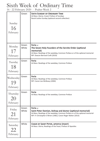# Sixth Week of Ordinary Time

16 - 22 February 2020 - Psalter Week 2

| Sunday<br>16<br>February    | Green          | <b>SIXTH SUNDAY OF ORDINARY TIME</b><br>At Mass: Gloria, Creed, Preface of Sundays<br>Racial Justice Sunday (optional second collection)                                                                              |
|-----------------------------|----------------|-----------------------------------------------------------------------------------------------------------------------------------------------------------------------------------------------------------------------|
| Monday<br>17<br>February    | Green<br>White | Feria or<br>The Seven Holy Founders of the Servite Order (optional<br>memorial)<br>At Mass: Readings of the weekday, Common Preface or of the optional memorial<br>RIP: Deacon Bernard Croft (2019)                   |
| Tuesday<br>18<br>February   | Green          | Feria<br>At Mass: Readings of the weekday; Common Preface                                                                                                                                                             |
| Wednesday<br>19<br>February | Green          | Feria<br>At Mass: Readings of the weekday; Common Preface<br>RIP: Canon Leo McReavy (2004)                                                                                                                            |
| Thursday<br>20<br>February  | Green          | Feria<br>At Mass: Readings of the weekday; Common Preface                                                                                                                                                             |
| Friday<br>21<br>February    | Green<br>White | Feria or<br>Saint Peter Damian, bishop and doctor (optional memorial)<br>At Mass: Readings of the weekday, Common Preface or of the optional memorial<br>RIP: Fr Christopher O'Brien (1982); Canon Roger Maher (2013) |
| Saturday<br>22<br>February  | White          | CHAIR OF SAINT PETER, APOSTLE (FEAST)<br>At Mass: Gloria; Readings of the Feast; Preface of Apostles                                                                                                                  |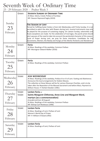# Seventh Week of Ordinary Time

23 - 29 February 2020 - Psalter Week 3

|                             | Green            | <b>SEVENTH SUNDAY OF ORDINARY TIME</b><br>At Mass: Gloria, Creed, Preface of Sundays<br>RIP: Deacon Raymond Faghy (2019)                                                                                                                                                                                                                                                                                                                                                                                                                                                                                                                                      |
|-----------------------------|------------------|---------------------------------------------------------------------------------------------------------------------------------------------------------------------------------------------------------------------------------------------------------------------------------------------------------------------------------------------------------------------------------------------------------------------------------------------------------------------------------------------------------------------------------------------------------------------------------------------------------------------------------------------------------------|
| Sunday<br>23<br>February    |                  | <b>THE SEASON OF LENT</b><br>Period for fulfilling Easter Duties is from Ash Wednesday until Trinity Sunday. It is not<br>permitted to adorn the altar with flowers during Lent, musical instruments may only<br>be played for the purpose of sustaining singing. On Laetare Sunday, solemnities and<br>feasts exceptions are made. For the celebration of marriages, the parish priest should<br>alert spouses of the need to take into account the penitential character of this season.<br>Cycle of Prayer during Lent, we pray for these intentions: Candidates for the<br>Sacraments; Women; the Needy and Hungry of the World; Penitents and Wanderers. |
| Monday<br>24<br>February    | Green            | Feria<br>At Mass: Readings of the weekday; Common Preface<br>RIP: Monsignor Edward Walker (2016)                                                                                                                                                                                                                                                                                                                                                                                                                                                                                                                                                              |
| Tuesday<br>25<br>February   | Green            | Feria<br>At Mass: Readings of the weekday; Common Preface                                                                                                                                                                                                                                                                                                                                                                                                                                                                                                                                                                                                     |
| Wednesday<br>26<br>February | Violet           | <b>ASH WEDNESDAY</b><br>At Mass: Readings of the weekday; Preface III or IV of Lent. Fasting and Abstinence.<br>Announce the local arrangements for Station Masses.<br>The collection at these Masses will be for various Diocesan Charities, and is to be<br>taken after the Reposition of the Blessed Sacrament and before Mass; Payment to<br>Willson House. Fr Herbert Bowker (1981)                                                                                                                                                                                                                                                                      |
| Thursday<br>27<br>February  | Violet<br>Violet | <b>Lenten Feria</b> or<br>Saints Margaret Clitherow, Anne Line and Margaret Ward,<br>martyrs (as a commemoration)<br>(transferred from 30 August)<br>At Mass: Readings of the weekday; Common Preface<br>RIP: Bishop Cyril Restieaux (1996)                                                                                                                                                                                                                                                                                                                                                                                                                   |
| Friday<br>28<br>February    | Violet           | Lenten Feria<br>At Mass: Readings of Lent; Preface of Lent<br>Women's World Day of Prayer<br>RIP: Fr William O'Dowd (1992)                                                                                                                                                                                                                                                                                                                                                                                                                                                                                                                                    |
| Saturday<br>February        | Violet           | <b>Lenten Feria</b><br>At Mass: Readings of Lent; Preface of Lent                                                                                                                                                                                                                                                                                                                                                                                                                                                                                                                                                                                             |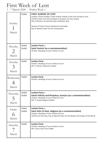### First Week of Lent

1 - 7 March 2020 - Psalter Week 1

| Sunday<br>March                                | Violet           | <b>FIRST SUNDAY OF LENT</b><br>At Mass: Gloria omitted, Creed recited, Preface of the First Sunday of Lent<br>CAFOD Lenten Fast Day Envelopes to be given out this Sunday<br>Rite of Election at Saint Barnabas Cathedral, 3pm<br>Review of Parish Finance Statement read today<br>Day of Special Prayer for the Unemployed |
|------------------------------------------------|------------------|-----------------------------------------------------------------------------------------------------------------------------------------------------------------------------------------------------------------------------------------------------------------------------------------------------------------------------|
| Monday<br>2<br>March                           | Violet<br>Violet | <b>Lenten Feria</b> or<br>Saint Casimir (as a commemoration)<br>At Mass: Readings of Lent; Preface of Lent                                                                                                                                                                                                                  |
| Tuesday<br>$\mathcal{L}_{\mathbf{A}}$<br>March | Violet           | <b>Lenten Feria</b><br>At Mass: Readings of Lent; Preface of Lent<br>RIP: Fr Adrian Chatterton (2016)                                                                                                                                                                                                                       |
| Wednesday<br>March                             | Violet           | Lenten Feria<br>At Mass: Readings of Lent; Preface of Lent                                                                                                                                                                                                                                                                  |
| Thursday<br>5<br>March                         | Violet<br>Violet | <b>Lenten Feria</b> or<br>Saints Felicity and Perpetua, martyrs (as a commemoration)<br>At Mass: Readings of Lent; Preface of Lent<br>RIP: Fr Joseph Maguire (2002)                                                                                                                                                         |
| Friday<br>6<br>March                           | Violet<br>Violet | <b>Lenten Feria</b> or<br>Saint John of God, religious (as a commemoration)<br>At Mass: Readings of Lent; Preface of Lent<br>CAFOD Lent Fast Day; Day of Special Prayer for the Needy and Hungry of the World                                                                                                               |
| Saturday<br>March                              | Violet           | Lenten Feria<br>At Mass: Readings of Lent; Preface of Lent<br>RIP: Canon Victor Key (1998)                                                                                                                                                                                                                                  |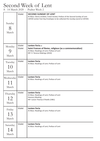### Second Week of Lent

8 - 14 March 2020 - Psalter Week 2

| Sunday<br>8<br>March     | Violet           | <b>SECOND SUNDAY OF LENT</b><br>At Mass: Gloria omitted, Creed recited, Preface of the Second Sunday of Lent<br>CAFOD Lenten Fast Day Envelopes to be collected this Sunday (send to CAFOD) |
|--------------------------|------------------|---------------------------------------------------------------------------------------------------------------------------------------------------------------------------------------------|
| Monday<br>C)<br>March    | Violet<br>Violet | Lenten Feria or<br>Saint Frances of Rome, religious (as a commemoration)<br>At Mass: Readings of Lent; Preface of Lent<br>RIP: Fr Terence Makings (2010)                                    |
| Tuesday<br>10<br>March   | Violet           | Lenten Feria<br>At Mass: Readings of Lent; Preface of Lent                                                                                                                                  |
| Wednesday<br>11<br>March | Violet           | Lenten Feria<br>At Mass: Readings of Lent; Preface of Lent                                                                                                                                  |
| Thursday<br>12<br>March  | Violet           | Lenten Feria<br>At Mass: Readings of Lent; Preface of Lent<br><b>Deanery Meeting</b><br>RIP: Canon Thomas O'Keefe (1981)                                                                    |
| Friday<br>13<br>March    | Violet           | Lenten Feria<br>At Mass: Readings of Lent; Preface of Lent                                                                                                                                  |
| Saturday<br>14<br>March  | Violet           | <b>Lenten Feria</b><br>At Mass: Readings of Lent; Preface of Lent                                                                                                                           |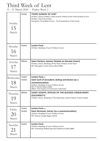# Third Week of Lent

15 - 21 March 2020 - Psalter Week 3

| Sunday<br>15<br>March    | Violet           | THIRD SUNDAY OF LENT<br>At Mass: Gloria omitted, Creed recited, Preface of the Third Sunday of Lent<br>At Mass: The First Scrutiny<br>During the Third Week of Lent - The Presentation of the Creed                          |
|--------------------------|------------------|------------------------------------------------------------------------------------------------------------------------------------------------------------------------------------------------------------------------------|
| Monday<br>16<br>March    | Violet           | Lenten Feria<br>At Mass: Readings of Lent; Preface of Lent                                                                                                                                                                   |
| Tuesday<br>17<br>March   | White            | SAINT PATRICK, BISHOP, PATRON OF IRELAND (FEAST)<br>At Mass: Gloria, Readings of the Feast, Preface of the Feast<br>RIP: Monsignor Canon Arthur Bird (1985)                                                                  |
| Wednesday<br>18<br>March | Violet<br>Violet | <b>Lenten Feria</b> or<br>Saint Cyril of Jerusalem, bishop and doctor (as a<br>commemoration)<br>At Mass: Readings of Lent; Preface of Lent<br>RIP: Fr Patrick Reidy (1983)<br>Office: First Vespers of tomorrow's Solemnity |
| Thursday<br>19<br>March  | White            | SAINT JOSEPH, SPOUSE OF THE BLESSED VIRGIN MARY<br>(SOLEMNITY)<br>At Mass: Gloria, Readings of the Solemnity, Creed, Preface of Saint Joseph                                                                                 |
| Friday<br>March          | Violet<br>Violet | Lenten Feria or<br>Saint Alcmund, martyr (as a commemoration)<br>At Mass: Readings of Lent; Preface of Lent<br>RIP: Deacon Joseph Rogan (2015)                                                                               |
| Saturday<br>21           | Violet           | <b>Lenten Feria</b><br>At Mass: Readings of Lent; Preface of Lent                                                                                                                                                            |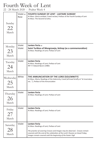# Fourth Week of Lent

22 - 28 March 2020 - Psalter Week 4

| Sunday<br>22<br>March    | Violet or<br>Rose | <b>FOURTH SUNDAY OF LENT - LAETARE SUNDAY</b><br>At Mass: Gloria omitted, Creed recited, Preface of the Fourth Sunday of Lent<br>At Mass: The Second Scrutiny            |
|--------------------------|-------------------|--------------------------------------------------------------------------------------------------------------------------------------------------------------------------|
| Monday<br>23<br>March    | Violet<br>Violet  | <b>Lenten Feria</b> or<br>Saint Turibius of Mongrovejo, bishop (as a commemoration)<br>At Mass: Readings of Lent; Preface of Lent                                        |
| Tuesday<br>24<br>March   | Violet            | Lenten Feria<br>At Mass: Readings of Lent; Preface of Lent<br>RIP: Fr Edward Byron (1980)                                                                                |
| Wednesday<br>25<br>March | White             | THE ANNUNCIATION OF THE LORD (SOLEMNITY)<br>At Mass: Gloria, Readings of the Solemnity, Creed (all kneel briefly at "et incarnatus<br>est"), Preface of the Annunciation |
| Thursday<br>26<br>March  | Violet            | Lenten Feria<br>At Mass: Readings of Lent; Preface of Lent                                                                                                               |
| Friday                   |                   |                                                                                                                                                                          |
| 27<br>March              | Violet            | Lenten Feria<br>At Mass: Readings of Lent; Preface of Lent                                                                                                               |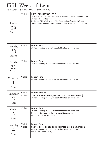# Fifth Week of Lent

29 March - 4 April 2020 - Psalter Week 1

| Sunday<br>29<br>March            | Violet           | <b>FIFTH SUNDAY OF LENT</b><br>At Mass: Gloria omitted, Creed recited, Preface of the Fifth Sunday of Lent<br>At Mass: The Third Scrutiny<br>During the Fifth Week of Lent - The Presentation of the Lord's Prayer<br>Start of British Summer Time. Clocks go forward one hour at 2am today |
|----------------------------------|------------------|---------------------------------------------------------------------------------------------------------------------------------------------------------------------------------------------------------------------------------------------------------------------------------------------|
| Monday<br>30<br>March            | Violet           | Lenten Feria<br>At Mass: Readings of Lent, Preface I of the Passion of the Lord                                                                                                                                                                                                             |
| Tuesday<br>31<br>March           | Violet           | Lenten Feria<br>At Mass: Readings of Lent, Preface I of the Passion of the Lord                                                                                                                                                                                                             |
| Wednesday<br>April               | Violet           | <b>Lenten Feria</b><br>At Mass: Readings of Lent, Preface I of the Passion of the Lord                                                                                                                                                                                                      |
| Thursday<br>2<br>April           | Violet<br>Violet | Lenten Feria or<br>Saint Francis of Paola, hermit (as a commemoration)<br>At Mass: Readings of Lent, Preface I of the Passion of the Lord                                                                                                                                                   |
| Friday<br>$\mathcal{E}$<br>April | Violet           | <b>Lenten Feria</b><br>At Mass: Readings of Lent, Preface I of the Passion of the Lord<br>Day of Special Prayer for the Survivors of Sexual Abuse<br>RIP: Fr Geoffrey Kitchin (1990)                                                                                                        |
| Saturday<br>April                | Violet<br>Violet | Lenten Feria or<br>Saint Isidore, bishop and doctor (as a commemoration)<br>At Mass: Readings of Lent, Preface I of the Passion of the Lord<br>RIP: Fr David Everitt (2010)                                                                                                                 |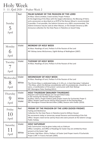#### Holy Week 5 - 11 April 2020 - Psalter Week 2

| Sunday<br>April    | Red                       | PALM SUNDAY OF THE PASSION OF THE LORD<br>At Mass: Gloria omitted, Creed recited, Proper Preface<br>At the beginning of the Mass with the largest attendance, the Blessing of Palms<br>and a procession as described on p.297ff of the Roman Missal is recommended<br>if possible. If not possible, the Solemn Entrance on p.308 is recommended. The<br>Solemn Entrance may be used at other Masses, or the Simple Entrance p.309.<br>Announce collection for the Holy Places in Palestine on Good Friday |
|--------------------|---------------------------|-----------------------------------------------------------------------------------------------------------------------------------------------------------------------------------------------------------------------------------------------------------------------------------------------------------------------------------------------------------------------------------------------------------------------------------------------------------------------------------------------------------|
| Monday<br>April    | Violet                    | <b>MONDAY OF HOLY WEEK</b><br>At Mass: Readings of Lent, Preface II of the Passion of the Lord<br>RIP: Bishop James McGuinness, Eighth Bishop of Nottingham (2007)                                                                                                                                                                                                                                                                                                                                        |
| Tuesday<br>April   | Violet                    | <b>TUESDAY OF HOLY WEEK</b><br>At Mass: Readings of Lent, Preface II of the Passion of the Lord                                                                                                                                                                                                                                                                                                                                                                                                           |
| Wednesday<br>April | Violet<br>White           | WEDNESDAY OF HOLY WEEK<br>At Mass: Readings of Lent, Preface II of the Passion of the Lord<br>The Chrism Mass is celebrated today at 11.30 a.m. in Saint Barnabas' Cathedral<br>This Mass, which the Bishop concelebrates with his presbyterate, should be, as it<br>were, a manifestation of the priests' communion with their Bishop.'<br>RIP: Monsignor Peter Dooling (2011)                                                                                                                           |
| Thursday<br>April  | Violet<br>White<br>Violet | <b>HOLY THURSDAY (MAUNDY THURSDAY)</b><br>Requiem and Funeral Masses are not permitted today<br>In the evening the Paschal Triduum begins:<br>At Mass: Gloria, Proper Preface (with proper inserts for Eucharistic Prayer I)<br>Office: Vespers need not be said by those present at the Evening Mass<br>RIP: Monsignor Provost Bernard Allen (1986); Deacon John Parker (2019)                                                                                                                           |
| Friday<br>April    | Red                       | FRIDAY OF THE PASSION OF THE LORD (GOOD FRIDAY)<br><b>Fasting and Abstinence</b><br>Collection for the Holy Places in Palestine (send to Willson House)<br>No sacraments today or tomorrow, except Penance and Anointing of the Sick<br>Office: Vespers need not be said by those who were present at the Solemn Liturgy<br>Public Holiday                                                                                                                                                                |
| Saturday<br>April  | Violet<br>White           | <b>HOLY SATURDAY</b><br>Holy Communion may be given today only as Viaticum<br>Office: Compline, and Office of Readings for Easter Day are omitted by those<br>present at the Easter Vigil<br>At Easter Vigil Mass: Gloria, Preface I of Easter (and Proper inserts if Eucharistic<br>Prayer I) RIP: Fr Francis Horvath (2005)                                                                                                                                                                             |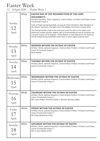#### Easter Week

12 - 18April 2020 - Psalter Week 1

| Sunday<br>12<br>April    | White | <b>EASTER DAY OF THE RESURRECTION OF THE LORD</b><br>(SOLEMNITY)<br>At Easter Day Mass: Gloria, Sequence, Creed, Preface I of Easter (and Proper inserts<br>if Eucharistic Prayer I)<br>Cycle of Prayer during Eastertide, we pray for these intentions: New Members of<br>the Church; Vocations; The Right Use of the Media; the Church; Human Work<br>The Paschal Candle is kept in the sanctuary (near the altar or the ambo) until<br>Pentecost Sunday inclusive. Regina Caeli is recommended at end of Compline and<br>is prayed in place of the Angelus. Votive Masses or daily Masses for the dead are<br>not permitted during Eastertide unless there is some urgent pastoral need |
|--------------------------|-------|--------------------------------------------------------------------------------------------------------------------------------------------------------------------------------------------------------------------------------------------------------------------------------------------------------------------------------------------------------------------------------------------------------------------------------------------------------------------------------------------------------------------------------------------------------------------------------------------------------------------------------------------------------------------------------------------|
| Monday<br>13<br>April    | White | <b>MONDAY WITHIN THE OCTAVE OF EASTER</b><br>At Mass: Gloria, optional Sequence, Creed omitted, Preface I of Easter (and Proper<br>inserts if Eucharistic Prayer I)<br><b>Bank Holiday</b>                                                                                                                                                                                                                                                                                                                                                                                                                                                                                                 |
| Tuesday<br>14<br>April   | White | <b>TUESDAY WITHIN THE OCTAVE OF EASTER</b><br>At Mass: Gloria, optional Sequence, Creed omitted, Preface I of Easter (and Proper<br>inserts if Eucharistic Prayer I)                                                                                                                                                                                                                                                                                                                                                                                                                                                                                                                       |
| Wednesday<br>15<br>April | White | <b>WEDNESDAY WITHIN THE OCTAVE OF EASTER</b><br>At Mass: Gloria, optional Sequence, Creed omitted, Preface I of Easter (and Proper<br>inserts if Eucharistic Prayer I)                                                                                                                                                                                                                                                                                                                                                                                                                                                                                                                     |
| Thursday<br>16<br>April  | White | THURSDAY WITHIN THE OCTAVE OF EASTER<br>At Mass: Gloria, optional Sequence, Creed omitted, Preface I of Easter (and Proper<br>inserts if Eucharistic Prayer I)<br>RIP: Canon Robert Thornhill (1976); Fr Kenneth Bennett (2000)                                                                                                                                                                                                                                                                                                                                                                                                                                                            |
| Friday<br>17<br>April    | White | <b>FRIDAY WITHIN THE OCTAVE OF EASTER</b><br>At Mass: Gloria, optional Sequence, Creed omitted, Preface I of Easter (and Proper<br>inserts if Eucharistic Prayer I)<br>No Friday Abstinence today                                                                                                                                                                                                                                                                                                                                                                                                                                                                                          |
| Saturday<br>18<br>April  | White | SATURDAY WITHIN THE OCTAVE OF EASTER<br>At Mass: Gloria, optional Sequence, Creed omitted, Preface I of Easter (and Proper<br>inserts if Eucharistic Prayer I)<br>RIP: Fr John Abbott (2017)                                                                                                                                                                                                                                                                                                                                                                                                                                                                                               |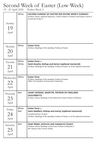# Second Week of Easter (Low Week)

19 - 25 April 2020 - Psalter Week 2

| Sunday<br>19<br>April    | White          | SECOND SUNDAY OF EASTER (OR DIVINE MERCY SUNDAY)<br>At Mass: Gloria, optional Sequence, Creed, Preface I of Easter (and Proper inserts if<br>Eucharistic Prayer I)                       |
|--------------------------|----------------|------------------------------------------------------------------------------------------------------------------------------------------------------------------------------------------|
| Monday<br>20<br>April    | White          | <b>Easter Feria</b><br>At Mass: Readings of the weekday, Preface of Easter                                                                                                               |
| Tuesday<br>21<br>April   | White<br>White | Easter Feria or<br>Saint Anselm, bishop and doctor (optional memorial)<br>At Mass: Readings of the weekday, Preface of Easter or of the optional memorial                                |
| Wednesday<br>22<br>April | White          | <b>Easter Feria</b><br>At Mass: Readings of the weekday, Preface of Easter<br>Office: First Vespers of tomorrow's Solemnity                                                              |
| Thursday<br>23<br>April  | Red            | SAINT GEORGE, MARTYR, PATRON OF ENGLAND<br>(SOLEMNITY)<br>At Mass: Gloria, Readings of the Solemnity, Creed, Preface of Martyrs                                                          |
| Friday<br>24<br>April    | White<br>Red   | Easter Feria or<br>Saint Adalbert, bishop and martyr (optional memorial)<br>transferred from 23 April<br>At Mass: Readings of the weekday, Preface of Easter or of the optional memorial |
| Saturday<br>25<br>April  | Red            | SAINT MARK, APOSTLES AND EVANGELIST (FEAST)<br>At Mass: Gloria, Readings of the Feast, Preface of Apsotles 2<br>RIP: Deacon John Timson (2018)                                           |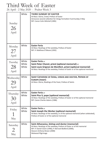# Third Week of Easter

26 April - 2 May 2020 - Psalter Week 3

| Sunday<br>26<br>April    | White                   | <b>THIRD SUNDAY OF EASTER</b><br>At Mass: Gloria, Creed, Preface of Easter<br>Announce second collection for Clergy Formation Fund Sunday 3 May<br>RIP: Canon Colin Mitchell (1985)                                           |
|--------------------------|-------------------------|-------------------------------------------------------------------------------------------------------------------------------------------------------------------------------------------------------------------------------|
| Monday<br>27<br>April    | White                   | <b>Easter Feria</b><br>At Mass: Readings of the weekday, Preface of Easter<br>RIP: Fr Matthew O'Meara (1992)                                                                                                                  |
| Tuesday<br>28<br>April   | White<br>White<br>White | <b>Easter Feria</b> or<br>Saint Peter Chanel, priest (optional memorial) or<br>Saint Louis Grignon de Montfort, priest (optional memorial)<br>At Mass: Readings of the weekday, Preface of Easter or of the optional memorial |
| Wednesday<br>29<br>April | White                   | SAINT CATHERINE OF SIENA, VIRGIN AND DOCTOR, PATRON OF<br>EUROPE (FEAST)<br>At Mass: Gloria, Readings of the Feast, Preface of Saints                                                                                         |
| Thursday<br>30<br>April  | White<br>White          | <b>Easter Feria</b> or<br>Saint Pius V, pope (optional memorial)<br>At Mass: Readings of the weekday, Preface of Easter or of the optional memorial<br>RIP: Canon Charles Adams (1986)                                        |
|                          |                         |                                                                                                                                                                                                                               |
| Friday<br>May            | White<br>White          | <b>Easter Feria</b> or<br>Saint Joseph the Worker (optional memorial)<br>At Mass: Readings of the weekday, or of the optional memorial (when celebrated),<br>Preface of Easter or of the optional memorial                    |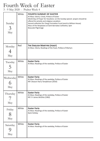### Fourth Week of Easter

3 - 9 May 2020 - Psalter Week 4

| Sunday<br>3<br>May    | White | <b>FOURTH SUNDAY OF EASTER</b><br>At Mass: Gloria, Creed, Preface of Easter<br>World Day of Prayer for Vocations: on this Sunday special prayers should be<br>offered for priestly and religious vocations<br>Second collection for Clergy Formation Fund (send to Willson House)<br>Mass of the Neophytes at Saint Barnabas Cathedral, 3pm<br>Beauvale Pilgrimage |
|-----------------------|-------|--------------------------------------------------------------------------------------------------------------------------------------------------------------------------------------------------------------------------------------------------------------------------------------------------------------------------------------------------------------------|
| Monday<br>4<br>May    | Red   | THE ENGLISH MARTYRS (FEAST)<br>At Mass: Gloria, Readings of the Feast, Preface of Martyrs                                                                                                                                                                                                                                                                          |
| Tuesday<br>5<br>May   | White | <b>Easter Feria</b><br>At Mass: Readings of the weekday, Preface of Easter                                                                                                                                                                                                                                                                                         |
| Wednesday<br>6<br>May | White | <b>Easter Feria</b><br>At Mass: Readings of the weekday, Preface of Easter<br>RIP: Deacon Harry Tompkinson (2016)                                                                                                                                                                                                                                                  |
| Thursday<br>May       | White | <b>Easter Feria</b><br>At Mass: Readings of the weekday, Preface of Easter<br>RIP: Fr James McGhie (1982)                                                                                                                                                                                                                                                          |
| Friday<br>8<br>May    | White | <b>Easter Feria</b><br>At Mass: Readings of the weekday, Preface of Easter<br><b>Bank Holiday</b>                                                                                                                                                                                                                                                                  |
| Saturday<br>May       | White | <b>Easter Feria</b><br>At Mass: Readings of the weekday, Preface of Easter                                                                                                                                                                                                                                                                                         |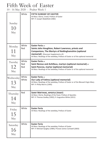# Fifth Week of Easter

10 - 16 May 2020 - Psalter Week 1

| Sunday<br>10<br>May    | White               | <b>FIFTH SUNDAY OF EASTER</b><br>At Mass: Gloria, Creed, Preface of Easter<br>RIP: Fr Joseph Wakefield (1983)                                                                                                                                                          |
|------------------------|---------------------|------------------------------------------------------------------------------------------------------------------------------------------------------------------------------------------------------------------------------------------------------------------------|
| Monday<br>11<br>May    | White<br>Red        | Easter Feria or<br>Saints John Houghton, Robert Lawrence, priests and<br><b>Companions, The Martyrs of Nottinghamshire (optional</b><br><b>memorial</b> ) (Diocesan Supplement p 9)<br>At Mass: Readings of the weekday, Preface of Easter or of the optional memorial |
| Tuesday<br>12<br>May   | White<br>Red<br>Red | <b>Easter Feria</b> or<br>Saint Nereus and Achilleus, martyrs (optional memorial) or<br>Saint Pancras, martyr (optional memorial)<br>At Mass: Readings of the weekday, Preface of Easter or of the optional memorial                                                   |
| Wednesday<br>13<br>May | White<br>White      | Easter Feria or<br>Our Lady of Fatima (optional memorial)<br>At Mass: Readings of the weekday, Preface of Easter or of the Blessed Virgin Mary<br>RIP: Fr Philip Morris (1995)                                                                                         |
| Thursday<br>14<br>May  | Red                 | <b>SAINT MATTHIAS, APOSTLE (FEAST)</b><br>At Mass: Gloria, Readings of the Feast, Preface of Apostles<br>RIP: Fr Thomas Godley (1992); Fr Augustine White (2011)                                                                                                       |
| Friday<br>15<br>May    | White               | Easter Feria<br>At Mass: Readings of the weekday, Preface of Easter                                                                                                                                                                                                    |
| Saturday<br>16<br>May  | White               | <b>Easter Feria</b><br>At Mass: Readings of the weekday, Preface of Easter<br>RIP: Fr Michael Quigley (1984); Provost James Cantwell (2003)                                                                                                                            |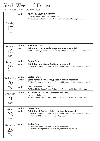# Sixth Week of Easter

17 - 23 May 2020 - Psalter Week 2

| Sunday<br>17<br>May   | White          | <b>SIXTH SUNDAY OF EASTER</b><br>At Mass: Gloria, Creed, Preface of Easter<br>Announce second collection for World Communications Sunday 24 May                                                                         |
|-----------------------|----------------|-------------------------------------------------------------------------------------------------------------------------------------------------------------------------------------------------------------------------|
| Monday<br>18<br>May   | White<br>Red   | <b>Easter Feria</b> or<br>Saint John I, pope and martyr (optional memorial)<br>At Mass: Readings of the weekday, Preface of Easter or of the optional memorial                                                          |
| Tuesday<br>19<br>May  | White<br>White | <b>Easter Feria</b> or<br>Saint Dunstan, bishop (optional memorial)<br>At Mass: Readings of the weekday, Preface of Easter or of the optional memorial                                                                  |
| Wednesday<br>20       | White<br>White | <b>Easter Feria</b> or<br>Saint Bernadine of Siena, priest (optional memorial)<br>At Mass: Readings of the weekday, Preface of Easter or of the optional memorial                                                       |
| May                   | White          | Office: First Vespers of Solemnity<br>At Mass: Gloria, Creed, Proper Preface (and Proper insert if Eucharistic Prayer I)                                                                                                |
| Thursday<br>21<br>May | White          | <b>ASCENSION OF THE LORD (SOLEMNITY)</b><br>Holyday of Obligation<br>At Mass: Gloria, Creed, Proper Preface (and Proper insert if Eucharistic Prayer I)                                                                 |
| Friday<br>22<br>May   | White<br>White | <b>Easter Feria</b> or<br>Saint Rita of Cascia, religious (optional memorial)<br>At Mass: Readings of the weekday, Preface of Easter or of the optional memorial<br>RIP: Fr Gerard McSpirit (2001); Fr Derl Daly (2009) |
| Saturday<br>23<br>May | White          | Easter Feria<br>At Mass: Readings of the weekday, Preface of Easter<br>RIP: Canon Christopher McKeown (1982); Fr Charles Wall (2003)                                                                                    |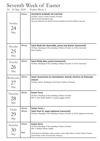### Seventh Week of Easter

24 - 30 May 2020 - Psalter Week 3

| Sunday<br>24<br>May    | White          | <b>SEVENTH SUNDAY OF EASTER</b><br>At Mass: Gloria, Creed, Preface of Easter<br><b>World Communications Day</b><br>Second collection for World Communications (send to Willson House)                                                          |
|------------------------|----------------|------------------------------------------------------------------------------------------------------------------------------------------------------------------------------------------------------------------------------------------------|
| Monday<br>25<br>May    | White          | Saint Bede the Venerable, priest and doctor (memorial)<br>At Mass: Readings of the weekday, Preface of Easter or of the memorial<br><b>Bank Holiday</b>                                                                                        |
| Tuesday<br>26<br>May   | White          | Saint Philip Neri, priest (memorial)<br>At Mass: Readings of the weekday, Preface of Easter or of the memorial                                                                                                                                 |
| Wednesday<br>27<br>May | White          | SAINT AUGUSTINE OF CANTERBURY, BISHOP, APOSTLE OF ENGLAND<br>(FEAST)<br>At Mass: Gloria, Readings of the Feast, Preface of Pastors                                                                                                             |
| Thursday<br>28<br>May  | White          | <b>Easter Feria</b><br>At Mass: Readings of the weekday, Preface of Easter<br>RIP: Fr John Mack (2009); Fr Joseph Duggan (2013)                                                                                                                |
| Friday<br>May          | White<br>White | <b>Easter Feria</b> or<br>Saint Paul VI, pope (optional memorial)<br>At Mass: Readings of the weekday, Preface of Easter or of the optional memorial                                                                                           |
| Saturday<br>30<br>May  | White<br>Red   | <b>Easter Feria</b><br>At Mass: Readings of the weekday, Preface of Easter<br>RIP: Fr William Walsh (1980)<br>At Pentecost Vigil Mass: Mass proper to the Vigil; Gloria, Creed, Proper Preface,<br>(and Proper insert if Eucharistic Prayer I) |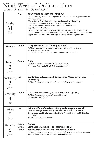### Ninth Week of Ordinary Time

31 May - 6 June 2020 - Psalter Week 1

| Sunday<br>31<br>May  | Red   | <b>PENTECOST SUNDAY (SOLEMNITY)</b><br>At Pentecost Day Mass: Gloria, Sequence, Creed, Proper Preface, (and Proper insert<br>if Eucharistic Prayer I)<br>After today the Paschal Candle is kept with honour in the baptistery<br>Confirmation is celebrated at Saint Barnabas Cathedral<br>Announce second collection for the Day for Life Sunday 7 June<br>Day of Prayer for the Church<br>Cycle of Prayer during Ordinary Time - Summer, we pray for these intentions: a<br>Deeper Understanding between Christians and Jews; those who Suffer Persecution,<br>Oppression, and Denial of Human Rights; Europe; Human Life; Seafarers |
|----------------------|-------|----------------------------------------------------------------------------------------------------------------------------------------------------------------------------------------------------------------------------------------------------------------------------------------------------------------------------------------------------------------------------------------------------------------------------------------------------------------------------------------------------------------------------------------------------------------------------------------------------------------------------------------|
| Monday<br>June       | White | Mary, Mother of the Church (memorial)<br>At Mass: Readings of the weekday, Common Preface or the memorial<br>The Angelus resumes today.<br>At Compline the Marian Anthem 'Salve Regina' is recommended                                                                                                                                                                                                                                                                                                                                                                                                                                 |
| Tuesday<br>2<br>June | Green | Feria<br>At Mass: Readings of the weekday, Common Preface<br>RIP: Canon Paul Klee (1983); Fr Neil McLaughlin (2019)                                                                                                                                                                                                                                                                                                                                                                                                                                                                                                                    |
| Wednesday            | Red   | Saints Charles Lwanga and Companions, Martyrs of Uganda<br>(memorial)<br>At Mass: Readings of the weekday, Common Preface or of the memorial                                                                                                                                                                                                                                                                                                                                                                                                                                                                                           |
| June                 |       |                                                                                                                                                                                                                                                                                                                                                                                                                                                                                                                                                                                                                                        |
| Thursday<br>June     | White | OUR LORD JESUS CHRIST, ETERNAL HIGH PRIEST (FEAST)<br>At Mass: Readings of the feast, Preface of the feast<br>RIP: Fr Frank Gavin (2011)                                                                                                                                                                                                                                                                                                                                                                                                                                                                                               |
| Friday<br>June       | Red   | Saint Boniface of Crediton, bishop and martyr (memorial)<br>At Mass: Readings of the weekday, Common Preface or of the memorial<br>Diamond Jubilee of the Priestly Ordinations of Fr Joseph Keogh and Fr Brendan<br>O'Callaghan<br>RIP: Fr Andrew Murdoch (1982)                                                                                                                                                                                                                                                                                                                                                                       |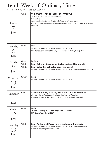# Tenth Week of Ordinary Time

7 - 13 June 2020 - Psalter Week 2

| Sunday<br>June           | White                   | THE MOST HOLY TRINITY (SOLEMNITY)<br>At Mass: Gloria, Creed, Proper Preface<br>Day for Life<br>Second collection for the Day for Life (send to Willson House)<br>Golden Jubilee of the Priestly Ordination of Monsignor Canon Thomas McGovern<br>Prot <sup>n</sup> Ap |
|--------------------------|-------------------------|-----------------------------------------------------------------------------------------------------------------------------------------------------------------------------------------------------------------------------------------------------------------------|
| Monday<br>8<br>June      | Green                   | Feria<br>At Mass: Readings of the weekday, Common Preface<br>RIP: Bishop John Francis McNulty, Sixth Bishop of Nottingham (1943)                                                                                                                                      |
| Tuesday<br>June          | Green<br>White<br>White | Feria or<br>Saint Ephrem, deacon and doctor (optional Memorial) or<br>Saint Columba, abbot (optional memorial)<br>At Mass: Readings of the weekday, Common Preface or of the optional memorial                                                                        |
| Wednesday<br>1()<br>June | Green                   | Feria<br>At Mass: Readings of the weekday, Common Preface                                                                                                                                                                                                             |
| Thursday<br>11<br>June   | Red                     | SAINT BARNABAS, APOSTLE, PATRON OF THE CATHEDRAL (FEAST)<br>At Mass: Gloria, Readings of the Feast, Preface II of Apostles<br>Diamond Jubilee of the Priestly Ordination of Fr Michael Eastwood                                                                       |
| Friday<br>12<br>June     | Green                   | Feria<br>At Mass: Readings of the weekday, Common Preface<br>RIP: Canon Peter Coyle (2017)                                                                                                                                                                            |
| Saturday<br>13<br>June   | White                   | Saint Anthony of Padua, priest and doctor (memorial)<br>At Mass: Readings of the weekday, Common Preface or of the memorial<br>Diocesan Pilgrimage to Walsingham                                                                                                      |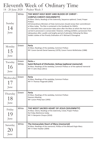# Eleventh Week of Ordinary Time

14 - 20 June 2020 - Psalter Week 3

| Sunday<br>14<br>June        | White          | THE MOST HOLY BODY AND BLOOD OF CHRIST -<br><b>CORPUS CHRISTI (SOLEMNITY)</b><br>At Mass: Gloria, Readings of the Solemnity, Sequence optional, Creed, Proper<br>Preface<br>All Extraordinary Ministers of Holy Communion should renew their committment<br>at Mass today. The Rite is contained in the Handbook for EMHCs<br>It is desirable that a procession takes place after the Mass at which the Host to be<br>carried in procession is consecrated. However, nothing prohibits a procession from<br>taking place after a public and lengthy period of adoration following the Mass<br>Golden Jubilee of the Priestly Ordination of Fr Michael O'Donoghue |
|-----------------------------|----------------|------------------------------------------------------------------------------------------------------------------------------------------------------------------------------------------------------------------------------------------------------------------------------------------------------------------------------------------------------------------------------------------------------------------------------------------------------------------------------------------------------------------------------------------------------------------------------------------------------------------------------------------------------------------|
| Monday<br>15<br>June        | Green          | Feria<br>At Mass: Readings of the weekday, Common Preface<br>RIP: Canon Garrett Daniel Sweeney (1979); Canon Francis McNicholas (1988)                                                                                                                                                                                                                                                                                                                                                                                                                                                                                                                           |
| Tuesday<br>16<br>June       | Green<br>White | Feria or<br>Saint Richard of Chichester, bishop (optional memorial)<br>At Mass: Readings of the weekday, Common Preface or of the optional memorial<br>RIP: Fr John Shaw (2011)                                                                                                                                                                                                                                                                                                                                                                                                                                                                                  |
| Wednesday<br>17<br>June     | Green          | Feria<br>At Mass: Readings of the weekday, Common Preface<br>RIP: Fr Thomas Fitzgerald (2003)                                                                                                                                                                                                                                                                                                                                                                                                                                                                                                                                                                    |
| Thursday<br>18<br>June      | Green          | Feria<br>At Mass: Readings of the weekday, Common Preface<br><b>Deanery Meeting</b><br>RIP: Canon Philip Soar (1993)                                                                                                                                                                                                                                                                                                                                                                                                                                                                                                                                             |
| Friday<br>June              | White          | THE MOST SACRED HEART OF JESUS (SOLEMNITY)<br>At Mass: Gloria, Readings of the Solemnity, Creed, Proper Preface<br>No Friday Abstinence today<br>RIP: Fr Benjamin Choyce (2010)                                                                                                                                                                                                                                                                                                                                                                                                                                                                                  |
| Saturday<br>$2\cup$<br>June | White          | The Immaculate Heart of Mary (memorial)<br>At Mass: Readings of the memorial, Preface of the Blessed Virgin Mary<br>RIP: Fr Peter Hawker (2004)                                                                                                                                                                                                                                                                                                                                                                                                                                                                                                                  |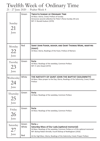### Twelfth Week of Ordinary Time

21 - 27 June 2020 - Psalter Week 4

| Sunday<br>21<br>June    | Green                 | <b>TWELFTH SUNDAY OF ORDINARY TIME</b><br>At Mass: Gloria, Creed, Preface of Sunday<br>Announce second collection for Peter's Pence Sunday 28 June<br>RIP: Fr Ronald Hudson (1970)                                                                                                                |
|-------------------------|-----------------------|---------------------------------------------------------------------------------------------------------------------------------------------------------------------------------------------------------------------------------------------------------------------------------------------------|
| Monday<br>22<br>June    | Red                   | SAINT JOHN FISHER, BISHOP, AND SAINT THOMAS MORE, MARTYRS<br>(FEAST)<br>At Mass: Gloria, Readings of the Feast, Preface of Martyrs                                                                                                                                                                |
| Tuesday<br>23<br>June   | Green                 | Feria<br>At Mass: Readings of the weekday, Common Preface<br>RIP: Fr John Dowd (1973)                                                                                                                                                                                                             |
| Wednesday<br>24<br>June | White                 | THE NATIVITY OF SAINT JOHN THE BAPTIST (SOLEMNITY)<br>At Mass: Mass proper to the Day; Gloria, Readings of the Solemnity, Creed, Proper<br>Preface                                                                                                                                                |
| Thursday<br>25<br>June  | Green                 | Feria<br>At Mass: Readings of the weekday, Common Preface                                                                                                                                                                                                                                         |
| Friday<br>26<br>June    | Green                 | Feria<br>At Mass: Readings of the weekday, Common Preface                                                                                                                                                                                                                                         |
| Saturday<br>27<br>June  | Green<br>White<br>Red | Feria or<br><b>Saturday Mass of Our Lady (optional memorial)</b><br>At Mass: Readings of the weekday, Common Preface or of the optional memorial<br>RIP: Bishop Robert Brindle, Fourth Bishop of Nottingham (1916)<br>At the Vigil Mass: Gloria, Readings of the Solemnity, Creed, Proper Preface |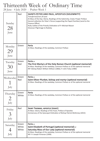### Thirteenth Week of Ordinary Time

28 June - 4 July 2020 - Psalter Week 1

| Sunday<br>28<br>June               | Red                     | SAINTS PETER AND PAUL, APOSTLES (SOLEMNITY)<br>Transferred from 29 June<br>At Mass of the Day: Gloria, Readings of the Solemnity, Creed, Proper Preface<br>Second collection for Peter's Pence (supporting the Papal Charities) (send to the<br>Finance Office)<br>Ruby Jubilee of the Priestly Ordination of Fr Michael Mason<br>Diocesan Pilgrimage to Rodsley |
|------------------------------------|-------------------------|------------------------------------------------------------------------------------------------------------------------------------------------------------------------------------------------------------------------------------------------------------------------------------------------------------------------------------------------------------------|
| Monday<br>29<br>June               | Green                   | Feria<br>At Mass: Readings of the weekday, Common Preface                                                                                                                                                                                                                                                                                                        |
| Tuesday<br>30<br>June              | Green<br>Red            | <b>Feria</b> or<br>The First Martyrs of the Holy Roman Church (optional memorial)<br>At Mass: Readings of the weekday, Common Preface or of the optional memorial<br>RIP: Bishop Robert William Willson (1866); Fr John Foley (1980)                                                                                                                             |
| Wednesday<br>July                  | Green<br>Red            | Feria or<br>Saint Oliver Plunket, bishop and martyr (optional memorial)<br>At Mass: Readings of the weekday, Common Preface or of the optional memorial                                                                                                                                                                                                          |
| Thursday<br>$\overline{2}$<br>July | Green<br>White          | Feria<br>At Mass: Readings of the weekday, Common Preface or of the optional memorial                                                                                                                                                                                                                                                                            |
| Friday<br>$\beta$<br>July          | Red                     | SAINT THOMAS, APOSTLE (FEAST)<br>At Mass: Gloria, Readings of the Feast, Preface of Apostles<br>Anniversary of the Episcopal Ordination of Bishop Patrick McKinney (2015)                                                                                                                                                                                        |
| Saturday<br>July                   | Green<br>White<br>White | <b>Feria</b> or<br>Saint Elizabeth of Portugal (optional memorial) or<br>Saturday Mass of Our Lady (optional memorial)<br>At Mass: Readings of the weekday, Common Preface or of the optional memorial<br>RIP: Fr Joseph Finneran (1999)                                                                                                                         |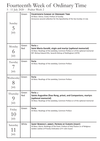### Fourteenth Week of Ordinary Time

5 - 11 July 2020 - Psalter Week 2

| Sunday<br>July      | Green        | <b>FOURTEENTH SUNDAY OF ORDINARY TIME</b><br>At Mass: Gloria, Creed, Preface of Sunday<br>Announce second collection for the Apostleship of the Sea Sunday 12 July                                                      |
|---------------------|--------------|-------------------------------------------------------------------------------------------------------------------------------------------------------------------------------------------------------------------------|
| Monday<br>6<br>July | Green<br>Red | Feria or<br>Saint Maria Goretti, virgin and martyr (optional memorial)<br>At Mass: Readings of the weekday, Common Preface or of the optional memorial<br>RIP: Bishop Edward Ellis, Seventh Bishop of Nottingham (1979) |
| Tuesday<br>July     | Green        | Feria<br>At Mass: Readings of the weekday, Common Preface                                                                                                                                                               |
| Wednesday<br>July   | Green        | Feria<br>At Mass: Readings of the weekday, Common Preface                                                                                                                                                               |
|                     |              |                                                                                                                                                                                                                         |
| Thursday<br>July    | Green<br>Red | Feria or<br>Saints Augustine Zhao Rong, priest, and Companions, martyrs<br>(optional memorial)<br>At Mass: Readings of the weekday, Common Preface or of the optional memorial                                          |
| Friday<br>July      | Green        | Feria<br>At Mass: Readings of the weekday, Common Preface                                                                                                                                                               |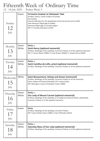# Fifteenth Week of Ordinary Time

12 - 18 July 2020 - Psalter Week 3

| Sunday<br>12<br>July    | Green          | <b>FIFTEENTH SUNDAY OF ORDINARY TIME</b><br>At Mass: Gloria, Creed, Preface of Sunday<br>Sea Sunday<br>Second collection for the Apostleship of the Sea (to be sent to AOS)<br>Inter-diocesan Pilgrimage to Padley<br>Diocesan Pilgrimage to Lourdes begins<br>RIP: Fr Timothy Shanahan (1970) |
|-------------------------|----------------|------------------------------------------------------------------------------------------------------------------------------------------------------------------------------------------------------------------------------------------------------------------------------------------------|
| Monday<br>13<br>July    | Green<br>White | Feria or<br>Saint Henry (optional memorial)<br>At Mass: Readings of the weekday, Common Preface or of the optional memorial<br>RIP: Fr Simon Nolan (1989); Fr Louis Kovacs (2004); Fr Joseph Henry (2005)                                                                                      |
| Tuesday<br>14<br>July   | Green<br>White | Feria or<br>Saint Camillus de Lellis, priest (optional memorial)<br>At Mass: Readings of the weekday, Common Preface or of the optional memorial                                                                                                                                               |
| Wednesday<br>15<br>July | White          | Saint Bonaventure, bishop and doctor (memorial)<br>At Mass: Readings of the weekday, Common Preface or of the memorial<br>Silver Jubilee of Priestly Ordination of Fr James Earley<br>RIP: Monsignor Canon Christopher Fisher (2000)                                                           |
| Thursday                | Green<br>White | Feria or                                                                                                                                                                                                                                                                                       |
| 16<br>July              |                | Our Lady of Mount Carmel (optional memorial)<br>At Mass: Readings of the weekday, or of optional memorial (when celebrated),<br>Common Preface or of the optional memorial                                                                                                                     |
| Friday<br>17<br>July    | Green          | Feria<br>At Mass: Readings of the weekday, Common Preface<br>RIP: Canon Herbert Quin (1985); Fr Ken O'Riordan (2012)                                                                                                                                                                           |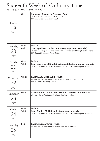# Sixteenth Week of Ordinary Time

19 - 25 July 2020 - Psalter Week 4

| Sunday<br>19<br>July    | Green          | <b>SIXTEENTH SUNDAY OF ORDINARY TIME</b><br>At Mass: Gloria, Creed, Preface of Sunday<br>RIP: Canon Peter McDonagh (2001)                                                                    |
|-------------------------|----------------|----------------------------------------------------------------------------------------------------------------------------------------------------------------------------------------------|
| Monday<br>20<br>July    | Green<br>Red   | Feria or<br>Saint Apollinaris, bishop and martyr (optional memorial)<br>At Mass: Readings of the weekday, Common Preface or of the optional memorial<br>RIP: Canon Christopher Turner (2003) |
| Tuesday<br>21<br>July   | Green<br>White | Feria or<br>Saint Lawrence of Brindisi, priest and doctor (optional memorial)<br>At Mass: Readings of the weekday, Common Preface or of the optional memorial                                |
| Wednesday<br>22<br>July | White          | <b>SAINT MARY MAGDALENE (FEAST)</b><br>At Mass: Gloria; Readings of the memorial, Preface of the memorial<br>RIP: Fr Thomas Moloney (1994)                                                   |
| Thursday<br>23<br>July  | White          | SAINT BRIDGET OF SWEDEN, RELIGIOUS, PATRON OF EUROPE (FEAST)<br>At Mass: Gloria, Readings of the Feast, Preface of Saints                                                                    |
| Friday<br>24<br>July    | Green<br>White | Feria or<br>Saint Sharbel Makhlūf, priest (optional memorial)<br>At Mass: Readings of the weekday, Common Preface or of the optional memorial                                                |
| Saturday<br>25<br>July  | Red            | SAINT JAMES, APOSTLE (FEAST)<br>At Mass: Gloria, Readings of the Feast, Preface of Apostles                                                                                                  |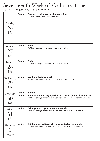### Seventeenth Week of Ordinary Time

26 July - 1 August 2020 - Psalter Week 1

| Sunday<br>26<br>July   | Green          | <b>SEVENTEENTH SUNDAY OF ORDINARY TIME</b><br>At Mass: Gloria, Creed, Preface of Sunday                                                                    |
|------------------------|----------------|------------------------------------------------------------------------------------------------------------------------------------------------------------|
| Monday<br>27<br>July   | Green          | Feria<br>At Mass: Readings of the weekday, Common Preface                                                                                                  |
| Tuesday<br>28<br>July  | Green          | Feria<br>At Mass: Readings of the weekday, Common Preface                                                                                                  |
| Wednesday              | White          | Saint Martha (memorial)<br>At Mass: Readings of the memorial, Preface of the memorial                                                                      |
| 29<br>July             |                |                                                                                                                                                            |
| Thursday<br>30<br>July | Green<br>White | Feria or<br>Saint Peter Chrysologus, bishop and doctor (optional memorial)<br>At Mass: Readings of the weekday, Common Preface or of the optional memorial |
| Friday<br>31<br>July   | White          | Saint Ignatius Loyola, priest (memorial)<br>At Mass: Readings of the weekday, Common Preface or of the memorial                                            |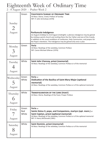# Eighteenth Week of Ordinary Time

2 - 8 August 2020 - Psalter Week 2

|                                                | Green                 | <b>EIGHTEENTH SUNDAY OF ORDINARY TIME</b><br>At Mass: Gloria, Creed, Preface of Sunday<br>RIP: Fr John Grimshaw (1978)                                                                                                                                                                                                                                            |
|------------------------------------------------|-----------------------|-------------------------------------------------------------------------------------------------------------------------------------------------------------------------------------------------------------------------------------------------------------------------------------------------------------------------------------------------------------------|
| Sunday<br>$\mathcal{D}_{\cdot}$                |                       |                                                                                                                                                                                                                                                                                                                                                                   |
| August                                         |                       | Portiuncula Indulgence<br>1st August (midday) to 2nd August (midnight): a plenary indulgence may be gained<br>by visiting a parish church and reciting there the Our Father and one of the Creeds,<br>in addition to the usual conditions of confession, Holy Communion, and prayers for<br>the Pope's intentions. The Indulgence may be gained only once a year. |
| Monday<br>$\mathcal{L}_{\mathbf{A}}$<br>August | Green                 | Feria<br>At Mass: Readings of the weekday, Common Preface<br>RIP: Canon Michael Gilleran (1976)                                                                                                                                                                                                                                                                   |
| Tuesday<br>August                              | White                 | Saint John Vianney, priest (memorial)<br>At Mass: Readings of the weekday, Common Preface or of the memorial                                                                                                                                                                                                                                                      |
| Wednesday                                      | Green<br>White        | Feria or<br>Dedication of the Basilica of Saint Mary Major (optional<br>memorial)<br>At Mass: Readings of the weekday, Common Preface or of the optional memorial                                                                                                                                                                                                 |
| August                                         |                       |                                                                                                                                                                                                                                                                                                                                                                   |
| Thursday<br>6<br>August                        | White                 | <b>TRANSFIGURATION OF THE LORD (FEAST)</b><br>At Mass: Gloria, Readings of the Feast, Proper Preface                                                                                                                                                                                                                                                              |
| Friday<br>August                               | Green<br>Red<br>White | Feria or<br>Saints Sixtus II, pope, and Companions, martyrs (opt. mem.) or<br>Saint Cajetan, priest (optional memorial)<br>At Mass: Readings of the weekday, Common Preface or of the optional memorial<br>RIP: Fr Henry McDonald (1981)                                                                                                                          |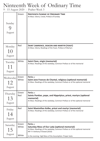# Ninteenth Week of Ordinary Time

9 - 15 August 2020 - Psalter Week 3

| Sunday<br>August          | Green                   | <b>NINTEENTH SUNDAY OF ORDINARY TIME</b><br>At Mass: Gloria, Creed, Preface of Sunday                                                                                                                                                           |
|---------------------------|-------------------------|-------------------------------------------------------------------------------------------------------------------------------------------------------------------------------------------------------------------------------------------------|
| Monday<br>10<br>August    | Red                     | SAINT LAWRENCE, DEACON AND MARTYR (FEAST)<br>At Mass: Gloria, Readings of the Feast, Preface of Martyrs                                                                                                                                         |
| Tuesday<br>11<br>August   | White                   | Saint Clare, virgin (memorial)<br>At Mass: Readings of the weekday, Common Preface or of the memorial                                                                                                                                           |
| Wednesday<br>12<br>August | Green<br>White          | Feria or<br>Saint Jane Frances de Chantal, religious (optional memorial)<br>At Mass: Readings of the weekday, Common Preface or of the optional memorial                                                                                        |
| Thursday<br>13<br>August  | Green<br>Red            | Feria or<br>Saints Pontian, pope, and Hippolytus, priest, martyrs (optional<br>memorial)<br>At Mass: Readings of the weekday, Common Preface or of the optional memorial                                                                        |
| Friday<br>14<br>August    | Red                     | Saint Maximilian Kolbe, priest and martyr (memorial)<br>At Mass: Readings of the weekday, Common Preface or of the memorial                                                                                                                     |
| Saturday<br>15<br>August  | Green<br>White<br>White | Feria or<br><b>Saturday Mass of Our Lady (optional memorial)</b><br>At Mass: Readings of the weekday, Common Preface or of the optional memorial<br>RIP: Fr Anthony O'Dowd (2010)<br>In the evening: Vigil Mass of the Assumption: Proper texts |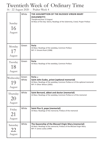#### Twentieth Week of Ordinary Time

16 - 22 August 2020 - Psalter Week 4

| Sunday<br>16<br>August    | White          | THE ASSUMPTION OF THE BLESSED VIRGIN MARY<br>(SOLEMNITY)<br>Transferred from 15 August<br>At Mass of the Day: Gloria, Readings of the Solemnity, Creed, Proper Preface   |
|---------------------------|----------------|--------------------------------------------------------------------------------------------------------------------------------------------------------------------------|
| Monday<br>17<br>August    | Green          | Feria<br>At Mass: Readings of the weekday, Common Preface<br>RIP: Fr Vincent Rush (1998)                                                                                 |
| Tuesday<br>18<br>August   | Green          | Feria<br>At Mass: Readings of the weekday, Common Preface                                                                                                                |
| Wednesday<br>19<br>August | Green<br>White | Feria or<br>Saint John Eudes, priest (optional memorial)<br>At Mass: Readings of the weekday, Common Preface or of the optional memorial<br>RIP: Fr Oliver Wilson (2002) |
| Thursday<br>20            | White          | Saint Bernard, abbot and doctor (memorial)<br>At Mass: Readings of the weekday, Common Preface or of the memorial                                                        |
| August                    |                |                                                                                                                                                                          |
| Friday<br>21<br>August    | White          | Saint Pius X, pope (memorial)<br>At Mass: Readings of the memorial, Preface of the memorial                                                                              |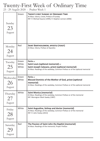# Twenty-First Week of Ordinary Time

23 - 29 August 2020 - Psalter Week 1

| Sunday<br>23<br>August    | Green                   | <b>TWENTY-FIRST SUNDAY OF ORDINARY TIME</b><br>At Mass: Gloria, Creed, Preface of Sunday<br>RIP: Fr Michael Quane (1999); Fr Stephen Lennon (2006)                                  |
|---------------------------|-------------------------|-------------------------------------------------------------------------------------------------------------------------------------------------------------------------------------|
| Monday<br>24<br>August    | Red                     | SAINT BARTHOLOMEW, APOSTLE (FEAST)<br>At Mass: Gloria, Preface of Apostles                                                                                                          |
| Tuesday<br>25<br>August   | Green<br>White<br>White | Feria or<br>Saint Louis (optional memorial) or<br>Saint Joseph Calasanz, priest (optional memorial)<br>At Mass: Readings of the weekday, Common Preface or of the optional memorial |
| Wednesday<br>26<br>August | Green<br>White          | Feria or<br>Blessed Dominic of the Mother of God, priest (optional<br>memorial)<br>At Mass: Readings of the weekday, Common Preface or of the optional memorial                     |
| Thursday<br>27<br>August  | White                   | <b>Saint Monica (memorial)</b><br>At Mass: Readings of the weekday, Common Preface or of the memorial<br>RIP: Monsignor Mark Swaby (1987)                                           |
| Friday<br>28<br>August    | White                   | Saint Augustine, bishop and doctor (memorial)<br>At Mass: Readings of the weekday, Common Preface or of the memorial<br>RIP: Fr John Feeley (2013)                                  |
| Saturday<br>29<br>August  | Red                     | The Passion of Saint John the Baptist (memorial)<br>At Mass: Readings of the memorial, Proper Preface                                                                               |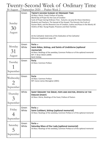# Twenty-Second Week of Ordinary Time

| <u> 30 August - 5 September 2020 - Psalter Week 2</u> |                |                                                                                                                                                                                                                                                                                                                                                                                                                                                                                                                                                                |  |  |
|-------------------------------------------------------|----------------|----------------------------------------------------------------------------------------------------------------------------------------------------------------------------------------------------------------------------------------------------------------------------------------------------------------------------------------------------------------------------------------------------------------------------------------------------------------------------------------------------------------------------------------------------------------|--|--|
| Sunday<br>30<br>August                                | Green          | <b>TWENTY-SECOND SUNDAY OF ORDINARY TIME</b><br>At Mass: Gloria, Creed, Preface of Sunday<br>World Day of Prayer for the Care of Creation<br>Cycle of Prayer during Ordinary Time - Autumn; we pray for these intentions:<br>Students and Teachers; The Spread of the Gospel; The Harvest; the Fruits of<br>Human Work, and the Reverent Use of Creation; Justice and Peace in the World; All<br>Victims of War; Young People; Prisoners and their Families<br>At the Cathedral: Solemnity of the Dedication of the Cathedral<br>(Diocesan Supplement page 10) |  |  |
| Monday<br>31<br>August                                | Green<br>White | Feria or<br>Saint Aidan, bishop, and Saints of Lindisfarne (optional<br>memorial)<br>At Mass: Readings of the weekday, Common Preface or of the optional memorial<br>RIP: Fr Brian Welsh (2009)<br><b>Bank Holiday</b>                                                                                                                                                                                                                                                                                                                                         |  |  |
| Tuesday<br>September                                  | Green          | Feria<br>At Mass: Common Preface                                                                                                                                                                                                                                                                                                                                                                                                                                                                                                                               |  |  |
| Wednesday<br>2<br>September                           | Green          | Feria<br>At Mass: Common Preface<br>RIP: Canon James Monaghan (2001)                                                                                                                                                                                                                                                                                                                                                                                                                                                                                           |  |  |
| Thursday<br>September                                 | White          | SAINT GREGORY THE GREAT, POPE AND DOCTOR, APOSTLE OF THE<br><b>ENGLISH (FEAST)</b><br>At Mass: Gloria, Readings of the Feast, Preface of Pastors                                                                                                                                                                                                                                                                                                                                                                                                               |  |  |
| Friday<br>September                                   | Green<br>White | Feria or<br>Saint Cuthbert, bishop (optional memorial)<br>At Mass: Readings of the weekday, Common Preface or of the optional memorial                                                                                                                                                                                                                                                                                                                                                                                                                         |  |  |
| Saturday<br>September                                 | Green<br>White | Feria or<br><b>Saturday Mass of Our Lady (optional memorial)</b><br>At Mass: Readings of the weekday, Common Preface or of the optional memorial                                                                                                                                                                                                                                                                                                                                                                                                               |  |  |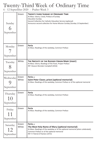### Twenty-Third Week of Ordinary Time

6 - 12 September 2020 - Psalter Week 3

| Sunday<br>6<br>September    | Green          | <b>TWENTY-THIRD SUNDAY OF ORDINARY TIME</b><br>At Mass: Gloria, Creed, Preface of Sunday<br><b>Education Sunday</b><br>Second Collection for Catholic Education Service (optional)<br>Announce second collection for Home Mission Sunday (Sunday 13 September) |
|-----------------------------|----------------|----------------------------------------------------------------------------------------------------------------------------------------------------------------------------------------------------------------------------------------------------------------|
| Monday<br>September         | Green          | Feria<br>At Mass: Readings of the weekday, Common Preface                                                                                                                                                                                                      |
| Tuesday<br>8<br>September   | White          | THE NATIVITY OF THE BLESSED VIRGIN MARY (FEAST)<br>At Mass: Gloria, Readings of the Feast, Proper Preface<br>RIP: Deacon Brendan Campbell (2016)                                                                                                               |
| Wednesday<br>September      | Green<br>White | Feria or<br>Saint Peter Claver, priest (optional memorial)<br>At Mass: Readings of the weekday, Common Preface or of the optional memorial                                                                                                                     |
| Thursday<br>10<br>September | Green          | Feria<br>At Mass: Readings of the weekday, Common Preface                                                                                                                                                                                                      |
| Friday<br>11<br>September   | Green          | Feria<br>At Mass: Readings of the weekday, Common Preface                                                                                                                                                                                                      |
| Saturday<br>September       | Green<br>White | <b>Feria</b> or<br>The Most Holy Name of Mary (optional memorial)<br>At Mass: Readings of the weekday or of the optional memorial (when celebrated),<br>Common Preface or of the optional memorial<br>RIP: Fr Patrick O'Hanlon (1972)                          |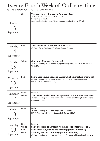# Twenty-Fourth Week of Ordinary Time

13 - 19 September 2020 - Psalter Week 4

| Sunday<br>13<br>September   | Green          | <b>TWENTY-FOURTH SUNDAY OF ORDINARY TIME</b><br>At Mass: Gloria, Creed, Preface of Sunday<br>Home Mission Sunday<br>Second collection for Home Mission Sunday (send to Finance Office) |
|-----------------------------|----------------|----------------------------------------------------------------------------------------------------------------------------------------------------------------------------------------|
| Monday<br>14<br>September   | Red            | THE EXALTATION OF THE HOLY CROSS (FEAST)<br>At Mass: Gloria, Readings of the Feast, Proper Preface                                                                                     |
| Tuesday<br>15<br>September  | White          | <b>Our Lady of Sorrows (memorial)</b><br>At Mass: Readings of the memorial, optional Sequence, Preface of the Blessed<br>Virgin Mary                                                   |
| Wednesday                   | Red            | Saints Cornelius, pope, and Cyprian, bishop, martyrs (memorial)<br>At Mass: Readings of the weekday, Common Preface or of the memorial                                                 |
| 16<br>September             |                | RIP: Fr Oswald Lofthouse (1985)                                                                                                                                                        |
| Thursday<br>17<br>September | Green<br>White | Feria or<br>Saint Robert Bellarmine, bishop and doctor (optional memorial)<br>At Mass: Readings of the weekday, Common Preface or of the optional memorial<br><b>Deanery Meeting</b>   |
| Friday<br>September         | Green          | Feria<br>At Mass: Readings of the weekday, Common Preface<br>RIP: Fr Paul Casartelli (2001); Deacon Bob Dawson (2019)                                                                  |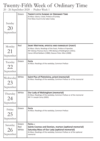# Twenty-Fifth Week of Ordinary Time

20 - 26 September 2020 - Psalter Week 1

| Sunday<br>September          | Green                 | <b>TWENTY-FIFTH SUNDAY OF ORDINARY TIME</b><br>At Mass: Gloria, Creed, Preface of Sunday<br>First Mass Count to be taken today                                                                                                        |
|------------------------------|-----------------------|---------------------------------------------------------------------------------------------------------------------------------------------------------------------------------------------------------------------------------------|
| Monday<br>21<br>September    | Red                   | SAINT MATTHEW, APOSTLE AND EVANGELIST (FEAST)<br>At Mass: Gloria, Readings of the Feast, Preface of Apostles<br>RIP: Bishop Thomas Dunn, Fifth Bishop of Nottingham (1931);<br>Canon Alfred Baldwin (1988); Deacon Peter Allen (2008) |
| Tuesday<br>22<br>September   | Green                 | Feria<br>At Mass: Readings of the weekday, Common Preface                                                                                                                                                                             |
| Wednesday<br>23<br>September | White                 | Saint Pius of Pietrelcina, priest (memorial)<br>At Mass: Readings of the weekday, Common Preface or of the memorial                                                                                                                   |
| Thursday<br>24<br>September  | White                 | <b>Our Lady of Walsingham (memorial)</b><br>At Mass: Readings of the weekday, Common Preface or of the memorial<br>RIP: Fr Joseph Carty (2005)                                                                                        |
| Friday<br>25<br>September    | Green                 | Feria<br>At Mass: Readings of the weekday, Common Preface                                                                                                                                                                             |
| Saturday<br>26<br>September  | Green<br>Red<br>White | Feria or<br>Saints Cosmas and Damian, martyrs (optional memorial)<br><b>Saturday Mass of Our Lady (optional memorial)</b><br>At Mass: Readings of the weekday, Common Preface or of the optional<br>memorial                          |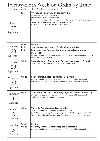# Twenty-Sixth Week of Ordinary Time

27 September - 3 October 2020 - Psalter Week 2

| Sunday<br>27<br>September    | Green               | <b>TWENTY-SIXTH SUNDAY OF ORDINARY TIME</b><br>At Mass: Gloria, Creed, Preface of Sunday<br>Second Mass Count to be taken today<br>Day of Thanksgiving for the Harvest, and for the Fruits of Human Work (Masses for<br>Various Needs and Occasions No 28; Missal p. 1357)<br>Distribution of CAFOD Harvest Fast Day envelopes |
|------------------------------|---------------------|--------------------------------------------------------------------------------------------------------------------------------------------------------------------------------------------------------------------------------------------------------------------------------------------------------------------------------|
| Monday<br>28<br>September    | Green<br>Red<br>Red | Feria or<br>Saint Wenceslaus, martyr (optional memorial) or<br>Saint Lawrence Ruiz and Companions, martyrs (optional<br>memorial)<br>At Mass: Readings of the weekday, Common Preface or of the optional memorial<br>RIP: Fr Joseph Jones (1980)                                                                               |
| Tuesday<br>29<br>September   | White               | SAINTS MICHAEL, GABRIEL AND RAPHAEL, ARCHANGELS (FEAST)<br>At Mass: Gloria, Readings of the feast, Preface of the feast                                                                                                                                                                                                        |
| Wednesday<br>30<br>September | White               | Saint Jerome, priest and doctor (memorial)<br>At Mass: Readings of the weekday, Common Preface or of the memorial<br>RIP: Monsignor Provost John McLean (1985); Deacon James Baxter (2019)                                                                                                                                     |
| Thursday<br>October          | White               | Saint Thérèse of the Child Jesus, virgin and doctor (memorial)<br>At Mass: Readings of the weekday, Common Preface or of the memorial<br>Traditional October Devotions begin today                                                                                                                                             |
| Friday<br>October            | White               | The Holy Guardian Angels (memorial)<br>At Mass: Readings of the memorial, Preface of Angels<br>CAFOD Harvest Fast Day. Day of special prayer for the Hungry and Needy of the<br>World (Masses for Various Needs and Occasions Number 29; Missal p. 1358)                                                                       |
| Saturday<br>October          | Green<br>White      | Feria or<br><b>Saturday Mass of Our Lady (optional memorial)</b><br>At Mass: Readings of the weekday, Common Preface or of the optional memorial                                                                                                                                                                               |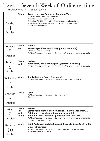# Twenty-Seventh Week of Ordinary Time

4 - 10 October 2020 - Psalter Week 3

| Sunday<br>October       | Green                          | <b>TWENTY-SEVENTH SUNDAY OF ORDINARY TIME</b><br>At Mass: Gloria, Creed, Preface of Sunday<br>Third Mass Count to be taken today<br>Collection of CAFOD Harvest Fast Day envelopes (send to CAFOD)<br>Statement on Marriage to be read / published today, see note 9<br>RIP: Fr John Troop (2006)            |
|-------------------------|--------------------------------|--------------------------------------------------------------------------------------------------------------------------------------------------------------------------------------------------------------------------------------------------------------------------------------------------------------|
| Monday<br>5<br>October  | Green<br>Red                   | Feria or<br>The Martyrs of Leicestershire (optional memorial)<br>(Diocesan Supplement p 11)<br>At Mass: Readings of the weekday, Common Preface or of the optional memorial                                                                                                                                  |
| Tuesday<br>6<br>October | Green<br>White                 | <b>Feria</b> or<br>Saint Bruno, priest and religious (optional memorial)<br>At Mass: Readings of the weekday, Common Preface or of the optional memorial                                                                                                                                                     |
| Wednesday<br>October    | White                          | Our Lady of the Rosary (memorial)<br>At Mass: Readings of the memorial, Preface of the Blessed Virgin Mary                                                                                                                                                                                                   |
| Thursday<br>October     | Green                          | Feria<br>At Mass: Readings of the weekday, Common Preface<br><b>Deanery Meeting</b>                                                                                                                                                                                                                          |
| Friday<br>October       | Green<br>Red<br>White<br>White | <b>Feria</b> or<br>Saints Denis, bishop, and Companions, martyrs (opt. mem.) or<br>Saint John Leonardi, priest (optional memorial) or<br>Saint John Henry Newman, priest (optional memorial)<br>At Mass: Readings of the weekday, Common Preface or of the optional memorial<br>RIP: Fr Ambrose Steen (1991) |
| Saturday<br>October     | White                          | Saint Paulinus of York, bishop, and the Anglo-Saxon Saints of the<br>Diocese (memorial)<br>At Mass: Readings of the memorial, Common Preface or of the memorial<br>RIP: Canon James Beel (1980)                                                                                                              |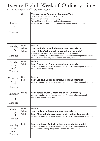# Twenty-Eighth Week of Ordinary Time

11 - 17 October 2020 - Psalter Week 4

| Sunday<br>11<br>October    | Green                   | <b>TWENTY-EIGHTH SUNDAY OF ORDINARY TIME</b><br>At Mass: Gloria, Creed, Preface of Sunday<br>Fourth Mass Count to be taken today<br>Week of Prayer for Prisoners and their Dependants<br>Announce second collection for the World Missions Sunday 18 October                                                                       |
|----------------------------|-------------------------|------------------------------------------------------------------------------------------------------------------------------------------------------------------------------------------------------------------------------------------------------------------------------------------------------------------------------------|
| Monday<br>12<br>October    | Green<br>White<br>White | Feria or<br>Saint Wilfrid of York, bishop (optional memorial) or<br>Saint Hilda of Whitby, religious (optional memorial)<br>transferred in the Diocese of Nottingham from 17 November<br>At Mass: Readings of the weekday, Common Preface or of the optional memorial<br>RIP: Fr Patrick Blackwell (1992); Deacon John Tear (2000) |
| Tuesday<br>13<br>October   | Green<br>White          | Feria or<br>Saint Edward the Confessor, (optional memorial)<br>At Mass: Readings of the weekday, Common Preface or of the optional memorial<br>RIP: Fr Philip O'Mara (1995)                                                                                                                                                        |
| Wednesday<br>14<br>October | Green<br>Red            | Feria or<br>Saint Callistus I, pope and martyr (optional memorial)<br>At Mass: Readings of the weekday, Common Preface or of the optional memorial                                                                                                                                                                                 |
| Thursday<br>15<br>October  | White                   | Saint Teresa of Jesus, virgin and doctor (memorial)<br>At Mass: Readings of the weekday, Common Preface or of the memorial<br>RIP: Fr John McDermott (1995)                                                                                                                                                                        |
| Friday<br>16<br>October    | Green<br>White<br>White | Feria or<br>Saint Hedwig, religious (optional memorial) or<br>Saint Margaret Mary Alacoque, virgin (optional memorial)<br>At Mass: Readings of the weekday, Common Preface or of the optional memorial                                                                                                                             |
| Saturday<br>October        | Red                     | Saint Ignatius of Antioch, bishop and martyr (memorial)<br>At Mass: Readings of the weekday, Common Preface or of the memorial<br>RIP: Fr Joseph Calnan (1998); Canon Brendan O'Sullivan (2009)                                                                                                                                    |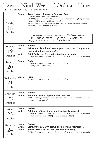### Twenty-Ninth Week of Ordinary Time

18 - 24 October 2020 - Psalter Week 1

| Sunday<br>18<br>October    | Green                 | TWENTY-NINTH SUNDAY OF ORDINARY TIME<br>At Mass: Gloria, Creed, Preface of Sunday<br>World Mission Sunday. One Mass 'For the Evangelisation of Peoples' permitted<br>(Occasional Masses no. 18; Missal p. 1342)<br>Second collection for the World Missions (send to Pontifical Mission Societies, 23<br>Eccleston Square, London SW1V 1NU)<br>In Dedicated Churches where the date of Dedication is unknown:<br>Thurs<br>DEDICATION OF THE CHURCH (SOLEMNITY)<br>22<br>At Mass: Gloria, Creed, Preface of the Dedication of the Church<br>White |
|----------------------------|-----------------------|--------------------------------------------------------------------------------------------------------------------------------------------------------------------------------------------------------------------------------------------------------------------------------------------------------------------------------------------------------------------------------------------------------------------------------------------------------------------------------------------------------------------------------------------------|
| Monday<br>19<br>October    | Green<br>Red<br>White | Feria or<br>Saints John de Brébeuf, Isaac Jogues, priests, and Companions,<br><b>martyrs (optional memorial)</b> or<br>Saint Paul of the Cross, priest (optional memorial)<br>At Mass: Readings of the weekday, Common Preface or of the optional memorial                                                                                                                                                                                                                                                                                       |
| Tuesday<br>20<br>October   | Green                 | Feria<br>At Mass: Readings of the weekday, Common Preface<br>RIP: Fr Sylvester Cotter (1998)                                                                                                                                                                                                                                                                                                                                                                                                                                                     |
| Wednesday<br>21<br>October | Green                 | Feria<br>At Mass: Readings of the weekday, Common Preface                                                                                                                                                                                                                                                                                                                                                                                                                                                                                        |
| Thursday<br>22<br>October  | Green<br>White        | Feria or<br>Saint John Paul II, pope (optional memorial)<br>At Mass: Readings of the weekday, Common Preface or of the optional memorial<br>RIP: Fr Daniel Ainsworth (1993)                                                                                                                                                                                                                                                                                                                                                                      |
| Friday                     | Green                 | Feria or                                                                                                                                                                                                                                                                                                                                                                                                                                                                                                                                         |
| 23<br>October              | White                 | Saint John of Capestrano, priest (optional memorial)<br>At Mass: Readings of the weekday, Common Preface or of the optional memorial<br>RIP: Fr Bernard Brownbill (1990); Fr Marian Cieselski (1994)                                                                                                                                                                                                                                                                                                                                             |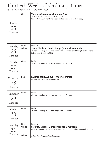#### Thirtieth Week of Ordinary Time

25 - 31 October 2020 - Psalter Week 2

| Sunday<br>25<br>October   | Green          | <b>THIRTIETH SUNDAY OF ORDINARY TIME</b><br>At Mass: Gloria, Creed, Preface of Sunday<br>End of British Summer Time; clocks go back one hour at 2am today                    |
|---------------------------|----------------|------------------------------------------------------------------------------------------------------------------------------------------------------------------------------|
| Monday<br>26<br>October   | Green<br>White | Feria or<br>Saints Chad and Cedd, bishops (optional memorial)<br>At Mass: Readings of the weekday, Common Preface or of the optional memorial<br>Fr Laurence Saunders (2013) |
| Tuesday<br>27<br>October  | Green          | Feria<br>At Mass: Readings of the weekday, Common Preface                                                                                                                    |
| Wednesday                 | Red            | SAINTS SIMON AND JUDE, APOSTLES (FEAST)<br>At Mass: Gloria, Preface of Apostles                                                                                              |
| 28<br>October             |                |                                                                                                                                                                              |
| Thursday<br>29<br>October | Green          | Feria<br>At Mass: Readings of the weekday, Common Preface                                                                                                                    |
| Friday<br>October         | Green          | Feria<br>At Mass: Readings of the weekday, Common Preface                                                                                                                    |
| Saturday<br>October       | Green<br>White | Feria or<br><b>Saturday Mass of Our Lady (optional memorial)</b><br>At Mass: Readings of the weekday, Common Preface or of the optional memorial                             |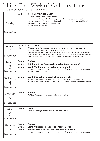#### Thirty-First Week of Ordinary Time

1 - 7 November 2020 - Psalter Week 3

| Sunday<br>November                          | White                     | <b>ALL SAINTS (SOLEMNITY)</b><br>At Mass: Gloria, Creed, Proper Preface<br>From noon on 1 November to midnight on 2 November a plenary indulgence<br>may be gained, applicable to the Holy Souls only, under the usual conditions. The<br>indulgence may be gained only once a day<br>RIP: Fr James Daly (1985)                                                                                                   |
|---------------------------------------------|---------------------------|-------------------------------------------------------------------------------------------------------------------------------------------------------------------------------------------------------------------------------------------------------------------------------------------------------------------------------------------------------------------------------------------------------------------|
| Monday<br>$\mathcal{D}_{\cdot}$<br>November | Violet or<br><b>Black</b> | <b>ALL SOULS</b><br>(COMMEMORATION OF ALL THE FAITHFUL DEPARTED)<br>At Mass: Preface of the Dead<br>Office: Of the Dead<br>All priests may celebrate three Masses today; one of the Masses in favour of any person and<br>accept an offering for that Mass; the second and third Mass are applied respectively for all the<br>faithful departed and for the intentions of the Pope (neither may have an offering) |
| Tuesday<br>November                         | Green<br>White<br>White   | Feria or<br>Saint Martin de Porres, religious (optional memorial) or<br>Saint Winifride, virgin (optional memorial)<br>At Mass: Readings of the weekday, Common Preface or of the optional memorial<br>RIP: Fr William Ellis (1998)                                                                                                                                                                               |
| Wednesday<br>November                       | White                     | Saint Charles Borromeo, bishop (memorial)<br>At Mass: Readings of the weekday, Common Preface or of the memorial<br>RIP: Fr James Quinn (1983); Fr Laurence Connell (1991); Fr Eric Whitehouse (1992)                                                                                                                                                                                                             |
| Thursday<br>November                        | Green                     | Feria or<br>At Mass: Readings of the weekday, Common Preface                                                                                                                                                                                                                                                                                                                                                      |
| Friday<br>November                          | Green                     | Feria<br>At Mass: Readings of the weekday, Common Preface                                                                                                                                                                                                                                                                                                                                                         |
| Saturday<br>November                        | Green<br>White<br>White   | Feria or<br>Saint Willibrord, bishop (optional memorial)<br>Saturday Mass of Our Lady (optional memorial)<br>At Mass: Readings of the weekday, Common Preface or of the optional memorial                                                                                                                                                                                                                         |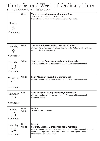# Thirty-Second Week of Ordinary Time

8 - 14 November 2020 - Psalter Week 4

| Sunday<br>November         | Green          | <b>THIRTY-SECOND SUNDAY OF ORDINARY TIME</b><br>At Mass: Gloria, Creed, Preface of Sunday<br>Remembrance Sunday; one Mass 'in anniversario' permitted                                                                                               |
|----------------------------|----------------|-----------------------------------------------------------------------------------------------------------------------------------------------------------------------------------------------------------------------------------------------------|
| Monday<br>V)<br>November   | White          | THE DEDICATION OF THE LATERAN BASILICA (FEAST)<br>At Mass: Gloria, Readings of the Feast, Preface of the Dedication of the Church<br>RIP: Fr William McEnery (1975)                                                                                 |
| Tuesday<br>10<br>November  | White          | Saint Leo the Great, pope and doctor (memorial)<br>At Mass: Readings of the weekday, Common Preface or of the memorial                                                                                                                              |
| Wednesday<br>November      | White          | Saint Martin of Tours, bishop (memorial)<br>At Mass: Readings of the weekday, Common Preface or of the memorial                                                                                                                                     |
| Thursday<br>12<br>November | Red            | Saint Josaphat, bishop and martyr (memorial)<br>At Mass: Readings of the weekday, Common Preface or of the memorial<br><b>Deanery Meeting</b>                                                                                                       |
| Friday<br>13<br>November   | Green<br>White | Feria or<br>At Mass: Common Preface                                                                                                                                                                                                                 |
| Saturday<br>November       | Green<br>White | Feria or<br>Saturday Mass of Our Lady (optional memorial)<br>At Mass: Readings of the weekday, Common Preface or of the optional memorial<br>RIP Bishop Joseph William Hendren, First Bishop of Nottingham (1866);<br>Monsignor George Tűttö (2017) |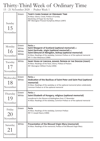### Thirty-Third Week of Ordinary Time

15 - 21 November 2020 - Psalter Week 1

| Sunday<br>15<br>November     | Green                            | <b>THIRTY-THIRD SUNDAY OF ORDINARY TIME</b><br>At Mass: Gloria, Creed, Preface of Sunday<br>World Day of Prayer for the Poor<br>RIP: Monsignor Provost Humphrey Wilson (1997)                                                                                                          |
|------------------------------|----------------------------------|----------------------------------------------------------------------------------------------------------------------------------------------------------------------------------------------------------------------------------------------------------------------------------------|
| Monday<br>16<br>November     | Green<br>White<br>White<br>White | Feria or<br>Saint Margaret of Scotland (optional memorial) or<br>Saint Gertrude, virgin (optional memorial) or<br>Saint Edmund of Abingdon, bishop (optional memorial)<br>At Mass: Readings of the weekday, Common Preface or of the optional memorial<br>RIP: Fr Alan Molyneux (1984) |
| Tuesday<br>November          | White                            | SAINT HUGH OF LINCOLN, BISHOP, PATRON OF THE DIOCESE (FEAST)<br>At Mass: Readings of the feast, Gloria, Preface of Pastors<br>RIP: Monsignor William Purdy (1994)                                                                                                                      |
| Wednesday                    | Green<br>White                   | Feria or<br>Dedication of the Basilicas of Saint Peter and Saint Paul (optional                                                                                                                                                                                                        |
| 18<br>November               |                                  | memorial)<br>At Mass: Readings of the weekday or of the optional memorial (when celebrated),<br>Common Preface or of the optional memorial                                                                                                                                             |
| Thursday<br>1 ()<br>November | Green<br>White                   | Feria or<br>Saint Elizabeth of Hungary, religious (optional memorial)<br>transferred in the Diocese of Nottingham from 17 November<br>At Mass: Readings of the weekday, Common Preface or of the optional memorial                                                                     |
| Friday<br>20<br>November     | Green                            | Feria<br>At Mass: Readings of the weekday, Common Preface<br>RIP: Fr Joseph Neary (1984)                                                                                                                                                                                               |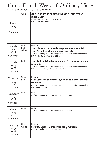# Thirty-Fourth Week of Ordinary Time

22 - 28 November 2020 - Psalter Week 2

| Sunday<br>22<br>November    | White                 | OUR LORD JESUS CHRIST, KING OF THE UNIVERSE<br>(SOLEMNITY)<br>At Mass: Gloria, Creed, Proper Preface<br>National Youth Sunday                                                                                                  |
|-----------------------------|-----------------------|--------------------------------------------------------------------------------------------------------------------------------------------------------------------------------------------------------------------------------|
| Monday<br>23<br>November    | Green<br>Red<br>White | Feria or<br>Saint Clement I, pope and martyr (optional memorial) or<br>Saint Columban, abbot (optional memorial)<br>At Mass: Readings of the weekday, Common Preface or of the memorial<br>RIP: Fr John Dewar-MacIntyre (1994) |
| Tuesday<br>24<br>November   | Red                   | Saint Andrew Düng-Lac, priest, and Companions, martyrs<br>(memorial)<br>At Mass: Readings of the weekday, Common Preface or of the memorial<br>RIP: Monsignor Provost Peter O'Dowd (2000)                                      |
| Wednesday<br>25<br>November | Green<br>Red          | Feria or<br>Saint Catherine of Alexandria, virgin and martyr (optional<br>memorial)<br>At Mass: Readings of the weekday, Common Preface or of the optional memorial<br>RIP: Canon Cyril Gryce (1977)                           |
| Thursday<br>26<br>November  | Green                 | Feria<br>At Mass: Readings of the weekday, Common Preface                                                                                                                                                                      |
| Friday<br>27<br>November    | Green                 | Feria<br>At Mass: Readings of the weekday, Common Preface                                                                                                                                                                      |
| Saturday<br>28              | Green<br>White        | Feria or<br>Saturday Mass of Our Lady (optional memorial)<br>At Mass: Readings of the weekday, Common Preface                                                                                                                  |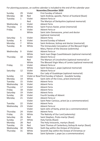For planning purposes, an outline calendar is included to the end of the calendar year:

| Sunday    | 29 | Violet | First Sunday of Advent                                |  |  |  |
|-----------|----|--------|-------------------------------------------------------|--|--|--|
| Monday    | 30 | Red    | Saint Andrew, apostle, Patron of Scotland (feast)     |  |  |  |
| Tuesday   | 1  | Violet | Advent Feria or                                       |  |  |  |
|           |    | Red    | The Martyrs of Derbyshire (optional memorial)         |  |  |  |
| Wednesday | 2  | Violet | Advent Feria                                          |  |  |  |
| Thursday  | 3  | White  | Saint Francis Xavier, priest (memorial)               |  |  |  |
| Friday    | 4  | Violet | Advent Feria or                                       |  |  |  |
|           |    | White  | Saint John Damascene, priest and doctor               |  |  |  |
|           |    |        | (optional memorial)                                   |  |  |  |
| Saturday  | 5  | Violet | <b>Advent Feria</b>                                   |  |  |  |
| Sunday    | 6  | Violet | Second Sunday of Advent                               |  |  |  |
| Monday    | 7  | White  | Saint Ambrose, bishop and doctor (memorial)           |  |  |  |
| Tuesday   | 8  | White  | The Immaculate Conception of the Blessed Virgin       |  |  |  |
|           |    |        | Mary, Patron of the Diocese (solemnity)               |  |  |  |
| Wednesday | 9  | Violet | Advent Feria or                                       |  |  |  |
|           |    | White  | Saint Juan Diego Cuauhtlatoazin (optional memorial)   |  |  |  |
| Thursday  | 10 | Violet | Advent Feria or                                       |  |  |  |
|           |    | Red    | The Martyrs of Lincolnshire (optional memorial) or    |  |  |  |
|           |    | White  | The Blessed Virgin Mary of Loreto (optional memorial) |  |  |  |
| Friday    | 11 | Violet | Advent Feria or                                       |  |  |  |
|           |    | White  | Saint Damasus I, pope (optional memorial)             |  |  |  |
| Saturday  | 12 | Violet | Advent Feria or                                       |  |  |  |
|           |    | White  | Our Lady of Guadalupe (optional memorial)             |  |  |  |
| Sunday    | 13 |        | Violet or RoseThird Sunday of Advent - Gaudete Sunday |  |  |  |
| Monday    | 14 | White  | Saint John of the Cross, priest (memorial)            |  |  |  |
| Tuesday   | 15 | Violet | <b>Advent Feria</b>                                   |  |  |  |
| Wednesday | 16 | Violet | <b>Advent Feria</b>                                   |  |  |  |
| Thursday  | 17 | Violet | <b>Advent Feria</b>                                   |  |  |  |
| Friday    | 18 | Violet | Advent Feria                                          |  |  |  |
| Saturday  | 19 | Violet | Advent Feria                                          |  |  |  |
| Sunday    | 20 | Violet | Fourth Sunday of Advent                               |  |  |  |
| Monday    | 21 | Violet | Advent Feria or                                       |  |  |  |
|           |    | Violet | Saint Peter Canisius, priest (as a commemoration)     |  |  |  |
| Tuesday   | 22 | Violet | Advent Feria                                          |  |  |  |
| Wednesday | 23 | Violet | Advent Feria or                                       |  |  |  |
|           |    | Violet | Saint John of Kanty, priest (as a commemoration)      |  |  |  |
| Thursday  | 24 | Violet | <b>Advent Feria</b>                                   |  |  |  |
| Friday    | 25 | White  | The Nativity of Our Lord (solemnity)                  |  |  |  |
| Saturday  | 26 | Red    | Saint Stephen, Proto-martyr (feast)                   |  |  |  |
| Sunday    | 27 | White  | Holy Family (feast)                                   |  |  |  |
| Monday    | 28 | Red    | The Holy Innocents, martyrs (feast)                   |  |  |  |
| Tuesday   | 29 | Red    | Saint Thomas of Canterbury, bishop & martyr (feast)   |  |  |  |
| Wednesday | 30 | White  | Sixth Day within the Octave of Christmas              |  |  |  |
| Thursday  | 31 | White  | Seventh Day within the Octave of Christmas or         |  |  |  |
|           |    | White  | Saint Sylvester I, pope (as a commemoration)          |  |  |  |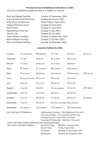#### **Provisional List of Additional Collections in 2021**

*This list is included for guidance only; it is subject to revision*

| Poor and Needy Parishes       | Sunday 12 December 2020  |
|-------------------------------|--------------------------|
| Sick and Retired Priests Fund | Sunday 24 January 2021   |
| Holy Places of Palestine      | Good Friday 2 April 2021 |
| <b>Clergy Formation Fund</b>  | Sunday 25 April 2021     |
| Peter Pence                   | Sunday 27 June 2021      |
| Apostleship of the Sea        | Sunday 11 July 2021      |
| Day for Life                  | Sunday 25 July 2021      |
| Home Mission Sunday           | Sunday 12 September 2021 |
| <b>World Mission Sunday</b>   | Sunday 17 October 2021   |
| Poor and Needy Parishes       | Sunday 13 December 2021  |

#### **Calendar Outline for 2021**

| January                                                                                                                                                                                                                  | 3 (2 Christmas)                                           | 10 (Baptism)   | 17 (2 OT)         |                 | 24 (3 OT)                          | 31 (4 OT)      |
|--------------------------------------------------------------------------------------------------------------------------------------------------------------------------------------------------------------------------|-----------------------------------------------------------|----------------|-------------------|-----------------|------------------------------------|----------------|
| February                                                                                                                                                                                                                 | 7(5 O T)<br>14 (6 OT)                                     |                | 21 (1 Lent)       |                 | 28 (2 Lent)                        |                |
| March                                                                                                                                                                                                                    | $7(3$ Lent)                                               | 14 (4 Lent)    | 21 (5 Lent)       |                 | 28 (Palm)                          |                |
| April                                                                                                                                                                                                                    | $4*$ (Easter)                                             | 11 (2 Easter)  | 18 (3 Easter)     |                 | 25 (4 Easter)                      |                |
| May                                                                                                                                                                                                                      | $2*$ (5 Easter)                                           | $9(6)$ Easter) | 16 (7 Easter)     |                 | 23 (Pentecost)                     | $30*$ (Trin'y) |
| June                                                                                                                                                                                                                     | 6 (Corpus Christi)                                        | 13 (11 OT)     | 20 (12 OT)        |                 | 27 (13 OT)                         |                |
| July                                                                                                                                                                                                                     | 4 (14 OT)                                                 | 11 (15 OT)     | 18 (16 OT)        |                 | 25 (17 OT)                         |                |
| August                                                                                                                                                                                                                   | 1(18 O T)                                                 | 8 (19 OT)      |                   | 15 (Assumption) | 22 (21 OT)                         | $29* (220T)$   |
| September                                                                                                                                                                                                                | 5 (23 OT)                                                 | 12 (24 OT)     |                   | 19 (25 OT)      | 26 (26 OT)                         |                |
| October                                                                                                                                                                                                                  | 3 (27 OT)                                                 | 10 (28 OT)     | 17 (29 OT)        |                 | 24 (30 OT)                         | 31 (Saints)    |
| November                                                                                                                                                                                                                 | 7 (32 OT)                                                 | 14 (33 OT)     |                   |                 | 21 (Christ the King) 28 (1 Advent) |                |
| December                                                                                                                                                                                                                 | 5 (2 Advent)                                              | 12 (3 Advent)  | 19 (4 Advent)     |                 | 26* (Holy Family)                  |                |
| Also Holy Days of Obligation:<br>Wednesday 6 January - The Epiphany of the Lord<br>Thursday 13 May - The Ascension of the Lord<br>Tuesday 29 June - Saints Peter and Paul<br>Saturday 25 December - Nativity of Our Lord |                                                           |                |                   |                 |                                    |                |
|                                                                                                                                                                                                                          | * Bank and Public Holiday Weekends (the following Monday) |                |                   |                 |                                    |                |
|                                                                                                                                                                                                                          | Other Bank and Public Holidays:                           |                | New Year's Day    |                 | Monday 1 January 2021              |                |
|                                                                                                                                                                                                                          |                                                           | Good Friday    |                   |                 | Friday 2 April 2021                |                |
|                                                                                                                                                                                                                          |                                                           |                | Christmas         |                 | Monday 27 December 2021            |                |
|                                                                                                                                                                                                                          |                                                           |                | <b>Boxing Day</b> |                 | Tuesday 28 December 2021           |                |